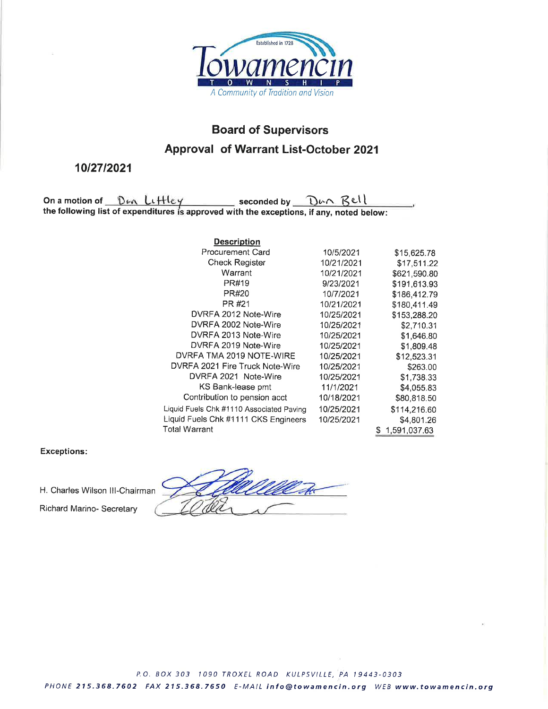

## **Board of Supervisors Approval of Warrant List-October 2021**

## 10/27/2021

On a motion of  $\underline{\mathbb{D} \oplus \mathbb{C} \cup \mathbb{H} \oplus \mathbb{C}}$  seconded by  $\underline{\mathbb{D} \oplus \mathbb{C} \cup \mathbb{R} \oplus \mathbb{C}}$ <br>the following list of expenditures is approved with the exceptions, if any, noted below:

| <b>Description</b>                       |            |                    |
|------------------------------------------|------------|--------------------|
| <b>Procurement Card</b>                  | 10/5/2021  | \$15,625.78        |
| <b>Check Register</b>                    | 10/21/2021 | \$17,511.22        |
| Warrant                                  | 10/21/2021 | \$621,590.80       |
| PR#19                                    | 9/23/2021  | \$191,613.93       |
| PR#20                                    | 10/7/2021  | \$186,412.79       |
| PR #21                                   | 10/21/2021 | \$180,411.49       |
| DVRFA 2012 Note-Wire                     | 10/25/2021 | \$153,288.20       |
| DVRFA 2002 Note-Wire                     | 10/25/2021 | \$2,710.31         |
| DVRFA 2013 Note-Wire                     | 10/25/2021 | \$1,646.80         |
| DVRFA 2019 Note-Wire                     | 10/25/2021 | \$1,809.48         |
| DVRFA TMA 2019 NOTE-WIRE                 | 10/25/2021 | \$12,523.31        |
| DVRFA 2021 Fire Truck Note-Wire          | 10/25/2021 | \$263.00           |
| DVRFA 2021 Note-Wire                     | 10/25/2021 | \$1,738.33         |
| KS Bank-lease pmt                        | 11/1/2021  | \$4,055.83         |
| Contribution to pension acct             | 10/18/2021 | \$80,818.50        |
| Liquid Fuels Chk #1110 Associated Paving | 10/25/2021 | \$114.216.60       |
| Liquid Fuels Chk #1111 CKS Engineers     | 10/25/2021 | \$4,801.26         |
| Total Warrant                            |            | 1,591,037.63<br>S. |

## **Exceptions:**

H. Charles Wilson III-Chairman

Richard Marino- Secretary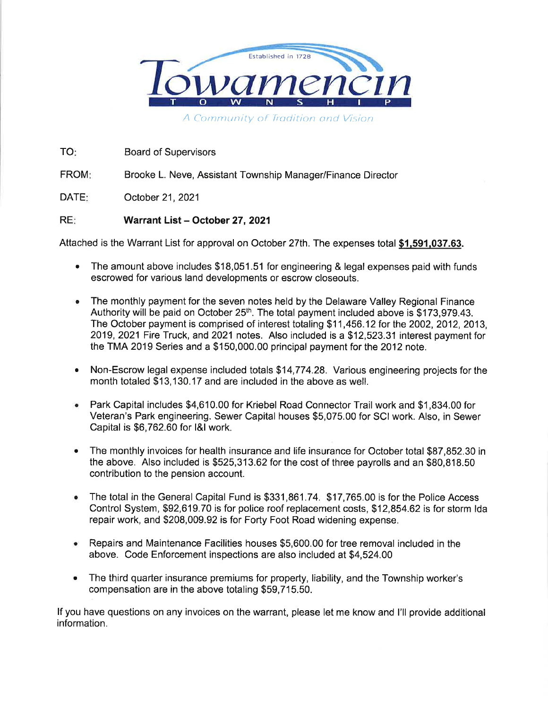

A Community of Tradition and Vision

TO: **Board of Supervisors** 

FROM: Brooke L. Neve, Assistant Township Manager/Finance Director

DATE: October 21, 2021

## **REF** Warrant List - October 27, 2021

Attached is the Warrant List for approval on October 27th. The expenses total \$1,591,037.63.

- The amount above includes \$18,051.51 for engineering & legal expenses paid with funds escrowed for various land developments or escrow closeouts.
- The monthly payment for the seven notes held by the Delaware Valley Regional Finance ۰ Authority will be paid on October 25<sup>th</sup>. The total payment included above is \$173,979.43. The October payment is comprised of interest totaling \$11,456.12 for the 2002, 2012, 2013, 2019. 2021 Fire Truck, and 2021 notes. Also included is a \$12,523.31 interest payment for the TMA 2019 Series and a \$150,000.00 principal payment for the 2012 note.
- Non-Escrow legal expense included totals \$14,774.28. Various engineering projects for the month totaled \$13,130.17 and are included in the above as well.
- Park Capital includes \$4,610.00 for Kriebel Road Connector Trail work and \$1,834.00 for Veteran's Park engineering. Sewer Capital houses \$5,075.00 for SCI work. Also, in Sewer Capital is \$6,762.60 for I&I work.
- The monthly invoices for health insurance and life insurance for October total \$87,852.30 in the above. Also included is \$525,313.62 for the cost of three payrolls and an \$80,818.50 contribution to the pension account.
- The total in the General Capital Fund is \$331,861.74. \$17,765.00 is for the Police Access Control System, \$92,619.70 is for police roof replacement costs, \$12,854.62 is for storm Ida repair work, and \$208,009.92 is for Forty Foot Road widening expense.
- Repairs and Maintenance Facilities houses \$5,600.00 for tree removal included in the above. Code Enforcement inspections are also included at \$4,524.00
- The third quarter insurance premiums for property, liability, and the Township worker's  $\bullet$ compensation are in the above totaling \$59,715.50.

If you have questions on any invoices on the warrant, please let me know and I'll provide additional information.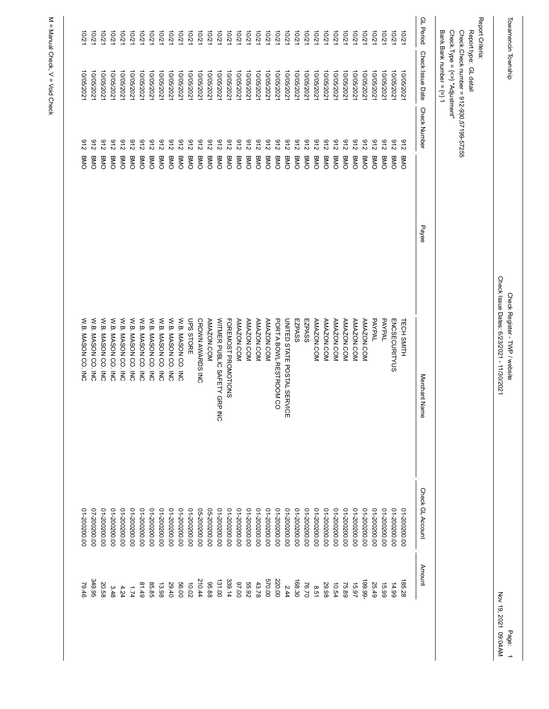| lowamencin Township |                                |                                          |       | Check Issue Dates: 6/23/2021 - 11/30/2021<br>Check Register - I WP / website |                              | Nov 19, 2021    |
|---------------------|--------------------------------|------------------------------------------|-------|------------------------------------------------------------------------------|------------------------------|-----------------|
| Report Criteria:    |                                |                                          |       |                                                                              |                              |                 |
|                     | Report type: GL detail         |                                          |       |                                                                              |                              |                 |
|                     | Check.Type = {<>} "Adjustment" | Check.Check number = 912-930,57199-57255 |       |                                                                              |                              |                 |
|                     | Bank.Bank number = {=} 1       |                                          |       |                                                                              |                              |                 |
| GL Period           | Check Issue Date               | <b>Check Number</b>                      | Payee | Merchant Name                                                                | Check GL Account             | Amount          |
| 10/21               | 10/05/2021                     | 216<br><b>BMO</b>                        |       | TECH SMITH                                                                   | 00'002002-10                 | 185.28          |
| 10/21               | 10/05/2021                     | 216<br><b>BMO</b>                        |       | <b>ENCSECURITYUS</b>                                                         | 00'002002-10                 | 14.99           |
| 10/21               | 10/05/2021                     | 216<br>BMO                               |       | PAYPAL                                                                       | 00'002002-10                 | 15.99           |
| 10/21               | 10/05/202                      | 216<br>BMO                               |       | PAYPAL                                                                       | 00'002002-10                 | 25.49           |
| 10/21               | 10/05/2021                     | 216<br>BMO                               |       | AMAZON.COM                                                                   | 00'002002-10                 | $-66.661$       |
| 10/21               | 10/05/2021                     | 216<br><b>BMO</b>                        |       | AMAZON.COM                                                                   | 00'002002-10                 | 15.97           |
| 10/21               | 10/05/2021                     | 216<br>BMO                               |       | <b>AMAZON.COM</b>                                                            | 00'002002-10                 | 75.89           |
| 10/21               | 10/05/202                      | 216<br>BMO                               |       | AMAZON.COM                                                                   | 00'002002-10                 | 10.54           |
| 10/21               | 10/05/2021                     | 216<br>BMO                               |       | <b>AMAZON.COM</b>                                                            | 00'002002-10                 | 29.98           |
| 10/21               | 10/05/2021                     | 216<br>BMO                               |       | AMAZON.COM                                                                   | 00'002002-10                 | 8.51            |
| 10/21<br>10/21      | 10/05/2021<br>10/05/2021       | 216<br>216<br>BMO<br>BMO                 |       | EZPASS<br>EZPASS                                                             | 00'002002-10<br>00'002002-10 | 168.30<br>76.70 |
| 10/21               | 10/05/202                      | 216<br>BMO                               |       | UNITED STATE POSTAL SERVICE                                                  | 00'002002-10                 | 2.44            |
| 10/21               | 10/05/2021                     | 216<br>BMO                               |       | PORT A BOWL RESTROOM CO                                                      | 00'002002-10                 | 220.00          |
| 10/21               | 10/05/2021                     | 216<br>BMO                               |       | <b>AMAZON.COM</b>                                                            | 01-200200.00                 | 00'029          |
| 10/21               | 10/05/2021                     | 216<br>BMO                               |       | AMAZON.COM                                                                   | 00'002002-10                 | 43.78           |
| 10/21               | 10/05/202                      | 216<br>BMO                               |       | <b>AMAZON.COM</b>                                                            | 00'002002-10                 | 55.92           |
| 10/21               | 10/05/2021                     | 216<br>BMO                               |       | AMAZON.COM                                                                   | 01-200200.00                 | 00'26           |
| 10/21               | 10/05/2021                     | 216<br>BMO                               |       | FOREMOST PROMOTIONS                                                          | 00'002002-10                 | 339.14          |
| 10/21               | 10/05/2021                     | 216<br>BMO                               |       | WITMER PUBLIC SAFETY GRP INC                                                 | 00'002002-10                 | 131.00          |
| $-2/01$             | 10/05/202                      | 216<br>BMO                               |       | <b>AMAZON.COM</b>                                                            | 05-200200.00                 | 95.88           |
| 10/21               | 10/05/2021                     | 216<br>BMO                               |       | CROWN AWARDS INC                                                             | 05-200200.00                 | 210.44          |
| 10/21               | 10/05/2021                     | 216<br>BMO                               |       | UPS STORE                                                                    | 00'002002-10                 | 10.02           |
| 12/07               | 10/05/2021                     | 216<br>BMO                               |       | W.B. MASON CO. INC                                                           | 00'002002-10                 | 56.00           |
| 12/01               | 10/05/2021                     | 216<br>BMO                               |       | W.B. MASON CO. INC                                                           | 00'002002-10                 | 29.40           |
| 10/21               | 10/05/202                      | 216<br>BMO                               |       | W.B. MASON CO. INC                                                           | 00'002002-10                 | 13.98           |
| 10/21               | 10/05/2021                     | 216<br>BMO                               |       | W.B. MASON CO. INC                                                           | 00'002002-10                 | 85.85           |
| 12/01               | 10/05/2021                     | 216<br>BMO                               |       | W.B. MASON CO. INC                                                           | 00'002002-10                 | 81.49           |
| 12/01               | 10/05/2021                     | 216<br>BMO                               |       | W.B. MASON CO. INC                                                           | 00'002002-10                 | 7.74            |
| 12/01               | 10/05/2021                     | 216<br>BMO                               |       | W.B. MASON CO. INC                                                           | 00'002002-10                 | 4.24            |
| 12/0                | 10/05/2021                     | 216<br>BMO                               |       | W.B. MASON CO. INC                                                           | 00'002002-10                 | 3.48            |
| 12/0                | 10/05/2021                     | 216<br>BMO                               |       | W.B. MASON CO. INC                                                           | 00'002002-10                 | 20.58           |
|                     | 10/05/2021                     | 216<br>BMO                               |       | W.B. MASON CO. INC                                                           | 00'002002-20                 | 349.95          |
| 10/21               |                                |                                          |       | W.B. MASON CO. INC                                                           | 00'002002-10                 | 79.46           |

> Page: 1<br>1 09:04AM Nov 19, 2021 09:04AM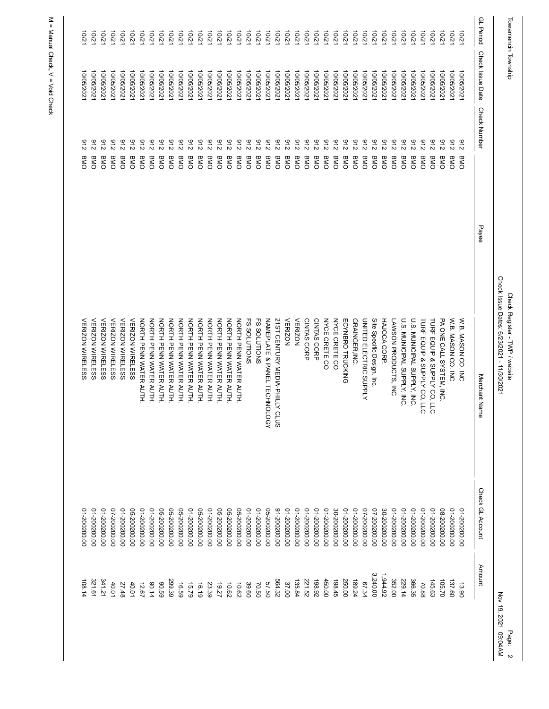| Towamencin Township |                  |                     |       | Check Issue Dates: 6/23/2021 - 11/30/2021<br>Check Register - TWP / website |                  | Nov 19, 2021 09:04AM<br>Page: |
|---------------------|------------------|---------------------|-------|-----------------------------------------------------------------------------|------------------|-------------------------------|
| <b>GL</b> Period    | Check Issue Date | <b>Check Number</b> | Payee | Merchant Nam<br>ወ                                                           | Check GL Account | Amount                        |
| 10/21               | 10/05/202        | 216<br>BMO          |       | W.B. MASON CO. INC                                                          | 01-200200.00     | 13.90                         |
| $-2/2$              | 10/05/202        | 216<br>BIND         |       | W.B. MASON CO. INC                                                          | 00'002002-10     | 137.60                        |
| 10/2                | 10/05/202        | 216<br>BMO          |       | PA ONE CALL SYSTEM, INC                                                     | 06-200200.00     | 105.70                        |
| 10/2                | 10/05/202        | 216<br>BMO          |       | TURF EQUIP & SUPPLY CO, LLC                                                 | 01-200200.00     | 145.63                        |
| 10/21               | 10/05/2021       | 216<br>BMO          |       | TURF EQUIP & SUPPLY CO, LLC                                                 | 00'002002-10     | 70.88                         |
| 12/01               | 10/05/2021       | 216<br>BMO          |       | U.S. MUNICIPAL SUPPLY, INC.                                                 | 00'002002-10     | 366.35                        |
| 201                 | 10/05/202        | 216<br>BMO          |       | U.S. MUNICIPAL SUPPLY, INC                                                  | 00'002002-10     | 229.14                        |
| 10/2                | 10/05/202        | 216<br>BMO          |       | LAWSON PRODUCTS, INC                                                        | 00'002002-10     | 352.00                        |
| 10/21               | 10/05/202        | 216<br>BMO          |       | HAJOCA CORP.                                                                | 30-200200.00     | 1,944.92                      |
| 10/21               | 10/05/202        | 216<br>BMO          |       | Site Specific Design, Inc.                                                  | 02-200200.00     | 3,240.00                      |
| $-201$              | 10/05/202        | 216<br>BMO          |       | UNITED ELECTRIC SUPPLY                                                      | 02-200200.00     | 67.34                         |
| 201                 | 10/05/202        | 216<br>BMO          |       | GRAINGER, INC.                                                              | 00'002002-10     | 189.24                        |
| 10/21               | 10/05/202        | 216<br>BMO          |       | ECYNBRO TRUCKING                                                            | 00'002002-10     | 250.00                        |
| 10/21               | 10/05/202        | 216<br>BMO          |       | <b>NYCE CRETE CO</b>                                                        | 00'002002-08     | 198.45                        |
| 10/2                | 10/05/202        | 216<br>BMO          |       | <b>NYCE CRETE CO</b>                                                        | 00'002002-10     | 450.00                        |
| 10/2                | 10/05/202        | 216<br>BMO          |       | CINTAS CORP                                                                 | 00'002002-10     | 198.92                        |
| 2/01                | 10/05/202        | 216<br>BMO          |       | CINTAS CORP                                                                 | 01-200200.00     | 221.52                        |
| 10/21               | 10/05/202        | 216<br>BMO          |       | <b>VERIZON</b>                                                              | 00'002002-10     | 135.84                        |
| 10/21               | 10/05/202        | 216<br>BMO          |       | <b>VERIZON</b>                                                              | 00'002002-10     | 37.00                         |
| $-201$              | 10/05/202        | 216<br>BMO          |       | 21ST CENTURY MEDIA-PHILLY CLUS                                              | 00'002002-16     | 564.32                        |
| 10/2                | 10/05/202        | 216<br>BMO          |       | NAMEPLATE & PANEL TECHNOLOGY                                                | 05-200200.00     | 57.50                         |
| 10/21               | 10/05/202        | 216<br>BMO          |       | <b>FS SOLUTIONS</b>                                                         | 00'002002-10     | 70.50                         |
| 10/21               | 10/05/202        | 216<br>BMO          |       | <b>FS SOLUTIONS</b>                                                         | 00'002002-10     | 39.60                         |
| $-2001$             | 10/05/202        | 216<br>BMO          |       | NORTH PENN WATER AUTH                                                       | 06-200200.00     | 10.62                         |
| 201                 | 10/05/202        | 216<br>BMO          |       | NORTH PENN WATER AUTH                                                       | 05-200200.00     | 10.62                         |
| 10/21               | 10/05/202        | 216<br>BMO          |       | NORTH PENN WATER AUTH                                                       | 05-200200.00     | 19.27                         |
| 10/2                | 10/05/202        | 216<br>BMO          |       | NORTH PENN WATER AUTH                                                       | 00'002002-10     | 23.39                         |
| $-2/2$              | 10/05/202        | 216<br>BMO          |       | NORTH PENN WATER AUTH                                                       | 06-200200.00     | 16.19                         |
| $-201$              | 10/05/202        | 216<br>BMO          |       | NORTH PENN WATER AUTH                                                       | 00'002002-10     | 15.79                         |
| 2/01                | 10/05/202        | 216<br>BMO          |       | NORTH PENN WATER AUTH                                                       | 05-200200.00     | 16.59                         |
| 10/21               | 10/05/2021       | 216<br>BMO          |       | NORTH PENN WATER AUTH                                                       | 05-200200.00     | 299.39                        |
| $-2/2$              | 10/05/202        | 216<br>BMO          |       | NORTH PENN WATER AUTH                                                       | 05-200200.00     | 69.06                         |
| 201                 | 10/05/202        | 216<br>BMO          |       | NORTH PENN WATER AUTH                                                       | 00'002002-10     | 00.14                         |
| 201                 | 10/05/202        | 216<br>BMO          |       | NORTH PENN WATER AUTH                                                       | 00'002002-10     | 12.67                         |
| $-2/2$              | 10/05/202        | 216<br>BMO          |       | <b>VERIZON WIRELESS</b>                                                     | 05-200200.00     | 40.01                         |
| $-2001$             | 10/05/202        | 216<br>BMO          |       | <b>VERIZON WIRELESS</b>                                                     | 00'002002-10     | 27.48                         |
| $-2/2$              | 10/05/202        | 216<br>BMO          |       | <b>VERIZON WIRELESS</b>                                                     | 02-200200.00     | 40.01                         |
| $-201$              | 10/05/202        | 216<br><b>BMO</b>   |       | <b>VERIZON WIRELESS</b>                                                     | 00'002002-10     | 141.21                        |
| 10/21               | 10/05/2021       | 216<br>BMO          |       | <b>VERIZON WIRELESS</b>                                                     | 00'002002-10     | 321.61                        |
| 10/21               | 10/05/2021       | 216<br>BMO          |       | <b>VERIZON WIRELESS</b>                                                     | 00'002002-10     | 108.14                        |
|                     |                  |                     |       |                                                                             |                  |                               |
|                     |                  |                     |       |                                                                             |                  |                               |

Page: 2<br>21 09:04AM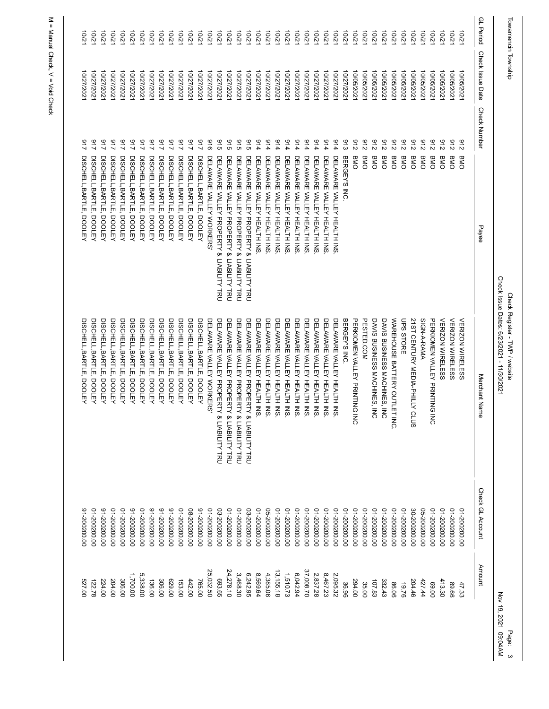|                           |                                                                                         |                          |                                                                                                                                                                                                                                                                                                                                                                                                                                                                                                                                                                                                                                                                                                                                                                                    |                                                                                                                                                                                                                                                                                                                       |                                                                                                              | Page:                                                                                     |
|---------------------------|-----------------------------------------------------------------------------------------|--------------------------|------------------------------------------------------------------------------------------------------------------------------------------------------------------------------------------------------------------------------------------------------------------------------------------------------------------------------------------------------------------------------------------------------------------------------------------------------------------------------------------------------------------------------------------------------------------------------------------------------------------------------------------------------------------------------------------------------------------------------------------------------------------------------------|-----------------------------------------------------------------------------------------------------------------------------------------------------------------------------------------------------------------------------------------------------------------------------------------------------------------------|--------------------------------------------------------------------------------------------------------------|-------------------------------------------------------------------------------------------|
| Check Issue Date          | <b>Check Number</b>                                                                     | Payee                    | Merchant Name                                                                                                                                                                                                                                                                                                                                                                                                                                                                                                                                                                                                                                                                                                                                                                      | Check GL Account                                                                                                                                                                                                                                                                                                      | Amount                                                                                                       |                                                                                           |
|                           |                                                                                         |                          |                                                                                                                                                                                                                                                                                                                                                                                                                                                                                                                                                                                                                                                                                                                                                                                    |                                                                                                                                                                                                                                                                                                                       |                                                                                                              |                                                                                           |
|                           | 216<br>BMO                                                                              |                          |                                                                                                                                                                                                                                                                                                                                                                                                                                                                                                                                                                                                                                                                                                                                                                                    | 00'002002-10                                                                                                                                                                                                                                                                                                          |                                                                                                              |                                                                                           |
| 10/05/202                 | 216<br>BMC                                                                              |                          | <b>VERIZON WIRELESS</b>                                                                                                                                                                                                                                                                                                                                                                                                                                                                                                                                                                                                                                                                                                                                                            | 00'002002-10                                                                                                                                                                                                                                                                                                          | 413.30                                                                                                       |                                                                                           |
| 10/05/2021                | <b>BMO</b>                                                                              |                          | 롱                                                                                                                                                                                                                                                                                                                                                                                                                                                                                                                                                                                                                                                                                                                                                                                  |                                                                                                                                                                                                                                                                                                                       | 00.00                                                                                                        |                                                                                           |
| 10/05/2021                | 216<br><b>BMO</b>                                                                       |                          | SIGN-A-RAMA                                                                                                                                                                                                                                                                                                                                                                                                                                                                                                                                                                                                                                                                                                                                                                        |                                                                                                                                                                                                                                                                                                                       | 427.44                                                                                                       |                                                                                           |
| 10/05/2021                | 216<br>BMO                                                                              |                          |                                                                                                                                                                                                                                                                                                                                                                                                                                                                                                                                                                                                                                                                                                                                                                                    | 00'002002-08                                                                                                                                                                                                                                                                                                          | 204.46                                                                                                       |                                                                                           |
| 10/05/202                 | 216<br>BMO                                                                              |                          | UPS STORE                                                                                                                                                                                                                                                                                                                                                                                                                                                                                                                                                                                                                                                                                                                                                                          | 00'002002-10                                                                                                                                                                                                                                                                                                          | 97.9                                                                                                         |                                                                                           |
| 10/05/202                 | 216<br>BMO                                                                              |                          |                                                                                                                                                                                                                                                                                                                                                                                                                                                                                                                                                                                                                                                                                                                                                                                    | 00'002002-10                                                                                                                                                                                                                                                                                                          |                                                                                                              |                                                                                           |
|                           | BMO                                                                                     |                          |                                                                                                                                                                                                                                                                                                                                                                                                                                                                                                                                                                                                                                                                                                                                                                                    |                                                                                                                                                                                                                                                                                                                       |                                                                                                              |                                                                                           |
|                           | 216<br><b>BMO</b>                                                                       |                          | DAVIS BUSINESS MACHINES, INC                                                                                                                                                                                                                                                                                                                                                                                                                                                                                                                                                                                                                                                                                                                                                       |                                                                                                                                                                                                                                                                                                                       |                                                                                                              |                                                                                           |
|                           | 216<br><b>BMO</b>                                                                       |                          |                                                                                                                                                                                                                                                                                                                                                                                                                                                                                                                                                                                                                                                                                                                                                                                    |                                                                                                                                                                                                                                                                                                                       |                                                                                                              |                                                                                           |
| 10/05/202                 | 216<br><b>BMO</b>                                                                       |                          | PERKIONE N VALLEY PRINTING<br>$\overline{5}$                                                                                                                                                                                                                                                                                                                                                                                                                                                                                                                                                                                                                                                                                                                                       | 00'002002-10                                                                                                                                                                                                                                                                                                          | 294.00                                                                                                       |                                                                                           |
| 10/27/202                 | 913                                                                                     |                          | BERGEY'S INC.                                                                                                                                                                                                                                                                                                                                                                                                                                                                                                                                                                                                                                                                                                                                                                      | 00'002002-10                                                                                                                                                                                                                                                                                                          | 36.96                                                                                                        |                                                                                           |
| 10/27/2021                | 716                                                                                     |                          | DELAWARE VALLEY HEALTH INS.                                                                                                                                                                                                                                                                                                                                                                                                                                                                                                                                                                                                                                                                                                                                                        | 00'002002-10                                                                                                                                                                                                                                                                                                          | 2,095.32                                                                                                     |                                                                                           |
| 10/27/2021                | 716                                                                                     |                          | DELAWARE VALLEY HEALTH INS                                                                                                                                                                                                                                                                                                                                                                                                                                                                                                                                                                                                                                                                                                                                                         |                                                                                                                                                                                                                                                                                                                       | 8,467.23                                                                                                     |                                                                                           |
| 10/27/202                 | 716                                                                                     |                          | DELAWARE VALLEY HEALTH INS                                                                                                                                                                                                                                                                                                                                                                                                                                                                                                                                                                                                                                                                                                                                                         | 00'002002-10                                                                                                                                                                                                                                                                                                          | 2,837.28                                                                                                     |                                                                                           |
| 10/27/202                 | 914                                                                                     |                          | DELAWARE<br>VALLEY HEALTH INS                                                                                                                                                                                                                                                                                                                                                                                                                                                                                                                                                                                                                                                                                                                                                      | 00'002002-10                                                                                                                                                                                                                                                                                                          | 37,008.70                                                                                                    |                                                                                           |
| 10/27/202                 | 716<br>DELAWARE                                                                         |                          | DELAWARE<br>VALLEY HEALTH INS                                                                                                                                                                                                                                                                                                                                                                                                                                                                                                                                                                                                                                                                                                                                                      | 00'002002-10                                                                                                                                                                                                                                                                                                          | 6,042.94                                                                                                     |                                                                                           |
| 10/27/2021                | 716                                                                                     |                          | DELAWARE<br>VALLEY HEALTH INS                                                                                                                                                                                                                                                                                                                                                                                                                                                                                                                                                                                                                                                                                                                                                      | 00'002002-10                                                                                                                                                                                                                                                                                                          | 1,510.73                                                                                                     |                                                                                           |
| 10/27/2021                | 716                                                                                     |                          | DELAWARE<br>VALLEY HEALTH INS                                                                                                                                                                                                                                                                                                                                                                                                                                                                                                                                                                                                                                                                                                                                                      | 00'002002-10                                                                                                                                                                                                                                                                                                          | 13, 155. 18                                                                                                  |                                                                                           |
| 10/27/202                 | 716                                                                                     |                          | DELAWARE<br>VALLEY HEALTH INS                                                                                                                                                                                                                                                                                                                                                                                                                                                                                                                                                                                                                                                                                                                                                      | 05-200200.00                                                                                                                                                                                                                                                                                                          | 4,385.06                                                                                                     |                                                                                           |
| 10/27/202                 | 914                                                                                     |                          | DELAWARE<br>VALLEY HEALTH INS                                                                                                                                                                                                                                                                                                                                                                                                                                                                                                                                                                                                                                                                                                                                                      | 00'002002-10                                                                                                                                                                                                                                                                                                          | 8,569.64                                                                                                     |                                                                                           |
| 10/27/202                 | 916<br>DELAWARE                                                                         |                          | DELAWARE<br><b>VALLEY PROPERTY</b>                                                                                                                                                                                                                                                                                                                                                                                                                                                                                                                                                                                                                                                                                                                                                 | 03-200200.00                                                                                                                                                                                                                                                                                                          | 6,242.95                                                                                                     |                                                                                           |
| 10/27/2021                | 915                                                                                     |                          | DELAWARE VALLEY PROPERTY<br>& LIABILITY TRU                                                                                                                                                                                                                                                                                                                                                                                                                                                                                                                                                                                                                                                                                                                                        | 00'002002-10                                                                                                                                                                                                                                                                                                          | 3,468.30                                                                                                     |                                                                                           |
| 10/27/2021                | 915                                                                                     |                          | DELAWARE VALLEY PROPERTY                                                                                                                                                                                                                                                                                                                                                                                                                                                                                                                                                                                                                                                                                                                                                           | 00'002002-10                                                                                                                                                                                                                                                                                                          |                                                                                                              |                                                                                           |
| 10/27/202                 | 916                                                                                     |                          | DELAWARE VALLEY PROPERTY<br>& LIABILITY TRU                                                                                                                                                                                                                                                                                                                                                                                                                                                                                                                                                                                                                                                                                                                                        | 03-200200.00                                                                                                                                                                                                                                                                                                          | 693.65                                                                                                       |                                                                                           |
| 10/27/202                 | 916                                                                                     |                          | DELAWARE VALLEY WORKERS'                                                                                                                                                                                                                                                                                                                                                                                                                                                                                                                                                                                                                                                                                                                                                           | 00'002002-10                                                                                                                                                                                                                                                                                                          | 25,032.50                                                                                                    |                                                                                           |
| 10/27/202                 | 416                                                                                     |                          | DISCHELL, BARTLE, DOOLEY                                                                                                                                                                                                                                                                                                                                                                                                                                                                                                                                                                                                                                                                                                                                                           | 00'002002-16                                                                                                                                                                                                                                                                                                          | 765.00                                                                                                       |                                                                                           |
| 10/27/2021                | 712                                                                                     |                          | DISCHELL, BARTLE, DOOLEY                                                                                                                                                                                                                                                                                                                                                                                                                                                                                                                                                                                                                                                                                                                                                           | 06-200200.00                                                                                                                                                                                                                                                                                                          | 442.00                                                                                                       |                                                                                           |
| 10/27/2021                | 216                                                                                     | <b>DOOLEY</b>            | DISCHELL, BARTLE,<br><b>DOOLEY</b>                                                                                                                                                                                                                                                                                                                                                                                                                                                                                                                                                                                                                                                                                                                                                 | 00'002002-10                                                                                                                                                                                                                                                                                                          | 153.00                                                                                                       |                                                                                           |
| 10/27/202                 | 712                                                                                     | <b>DOOLEY</b>            | DISCHELL, BARTLE, DOOLEY                                                                                                                                                                                                                                                                                                                                                                                                                                                                                                                                                                                                                                                                                                                                                           | 00'002002-16                                                                                                                                                                                                                                                                                                          | 629.00                                                                                                       |                                                                                           |
| 10/27/202                 | 216                                                                                     | <b>DOOLEY</b>            | DISCHELL, BARTLE, DOOLEY                                                                                                                                                                                                                                                                                                                                                                                                                                                                                                                                                                                                                                                                                                                                                           | 00'002002-16                                                                                                                                                                                                                                                                                                          | 306.00                                                                                                       |                                                                                           |
| 10/27/202                 | 216                                                                                     | <b>DOOLEY</b>            | DISCHELL, BARTLE, DOOLEY                                                                                                                                                                                                                                                                                                                                                                                                                                                                                                                                                                                                                                                                                                                                                           | 00'002002-16                                                                                                                                                                                                                                                                                                          | 136.00                                                                                                       |                                                                                           |
| 10/27/2021                | 712                                                                                     | <b>DOOLEY</b>            | DISCHELL, BARTLE, DOOLEY                                                                                                                                                                                                                                                                                                                                                                                                                                                                                                                                                                                                                                                                                                                                                           | 00'002002-10                                                                                                                                                                                                                                                                                                          | 5,338.00                                                                                                     |                                                                                           |
| 10/27/2021                | 216                                                                                     | <b>DOOLEY</b>            | DISCHELL, BARTLE,<br><b>DOOLEY</b>                                                                                                                                                                                                                                                                                                                                                                                                                                                                                                                                                                                                                                                                                                                                                 | 00'002002-16                                                                                                                                                                                                                                                                                                          | 1,700.00                                                                                                     |                                                                                           |
| 10/27/202                 | 216                                                                                     | <b>DOOLEY</b>            | DISCHELL, BARTLE, DOOLEY                                                                                                                                                                                                                                                                                                                                                                                                                                                                                                                                                                                                                                                                                                                                                           | 00'002002-10                                                                                                                                                                                                                                                                                                          | 306.00                                                                                                       |                                                                                           |
| 10/27/2021                | 212                                                                                     | <b>DOOLEY</b>            | DISCHELL, BARTLE, DOOLEY                                                                                                                                                                                                                                                                                                                                                                                                                                                                                                                                                                                                                                                                                                                                                           | 00'002002-10                                                                                                                                                                                                                                                                                                          | 204.00                                                                                                       |                                                                                           |
| 10/27/2021                | 719                                                                                     | <b>DOOLEY</b>            | DISCHELL, BARTLE, DOOLEY                                                                                                                                                                                                                                                                                                                                                                                                                                                                                                                                                                                                                                                                                                                                                           | 00'002002-16                                                                                                                                                                                                                                                                                                          | 224.00                                                                                                       |                                                                                           |
| 10/27/2021                | 712                                                                                     | <b>DOOLEY</b>            | DISCHELL, BARTLE, DOOLEY                                                                                                                                                                                                                                                                                                                                                                                                                                                                                                                                                                                                                                                                                                                                                           | 00'002002-10                                                                                                                                                                                                                                                                                                          | 122.78                                                                                                       |                                                                                           |
| 10/27/2021                | 116                                                                                     | <b>DOOLEY</b>            | DISCHELL, BARTLE,<br><b>DOOLEY</b>                                                                                                                                                                                                                                                                                                                                                                                                                                                                                                                                                                                                                                                                                                                                                 | 00'002002-16                                                                                                                                                                                                                                                                                                          | 527.00                                                                                                       |                                                                                           |
|                           |                                                                                         |                          |                                                                                                                                                                                                                                                                                                                                                                                                                                                                                                                                                                                                                                                                                                                                                                                    |                                                                                                                                                                                                                                                                                                                       |                                                                                                              |                                                                                           |
| <b>GL</b> Period<br>10/21 | Towamencin Township<br>10/05/2021<br>10/05/2021<br>10/05/2021<br>10/05/202<br>10/05/202 | 216<br>216<br>216<br>BMO | DELAWARE VALLEY HEALTH INS<br>DELAWARE VALLEY HEALTH INS<br>BERGEY'S INC.<br>DISCHELL, BARTLE,<br>DISCHELL, BARTLE,<br>DISCHELL, BARTLE, DOOLEY<br>DELAWARE VALLEY PROPERTY & LIABILITY TRU<br>DELAWARE VALLEY PROPERTY & LIABILITY TRU<br>DELAWARE VALLEY HEALTH INS<br>DELAWARE VALLEY HEALTH INS<br>DELAWARE VALLEY HEALTH INS<br>DELAWARE VALLEY HEALTH INS<br>DELAWARE VALLEY HEALTH INS<br>DELAWARE VALLEY HEALTH INS<br>DISCHELL, BARTLE,<br>DISCHELL, BARTLE,<br>DISCHELL, BARTLE,<br>DISCHELL, BARTLE,<br>DISCHELL, BARTLE,<br>DISCHELL, BARTLE,<br>DISCHELL, BARTLE,<br>DISCHELL, BARTLE, DOOLEY<br>DELAWARE VALLEY WORKERS<br>DELAWARE VALLEY PROPERTY & LIABILITY TRU<br>DISCHELL, BARTLE,<br>DISCHELL, BARTLE,<br>VALLEY PROPERTY & LIABILITY TRU<br>VALLEY HEALTH NS | Check Issue Dates: 6/23/2021 - 11/30/2021<br>Check Register - TWP / website<br>WAREHOUSE BATTERY OUTLET INC.<br>21ST CENTURY MEDIA-PHILLY CLUS<br>PERKIOMEN VALLEY PRINTING<br>PESTED.COM<br>DAVIS BUSINESS MACHINES, INC<br><b>VERIZON WIRELESS</b><br><b>VERIZON WIRELESS</b><br>& LIABILITY TRU<br>& LIABILITY TRU | 00'002002-10<br>00'002002-10<br>00'002002-10<br>00'002002-10<br>05-200200.00<br>00'002002-10<br>00'002002-10 | 24,278.10<br>332.43<br>107.83<br>86.06<br>35.00<br>89.66<br>47.33<br>Nov 19, 2021 09:04AM |

Page: 3<br>2021 09:04AM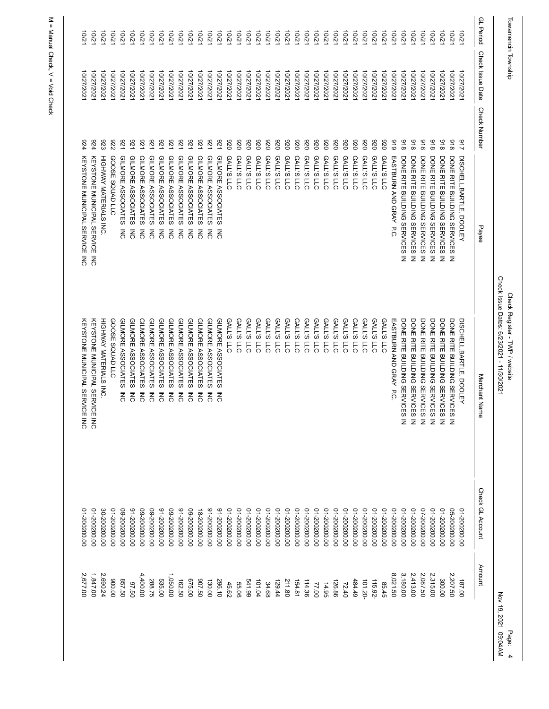| Towamencin Township |                  |                                        |                | Check Issue Dates: 6/23/2021 - 11/30/2021<br>Check Register - TWP / website                                                                                                                              |                  | Nov 19, 2021 09:04AM | Page: |
|---------------------|------------------|----------------------------------------|----------------|----------------------------------------------------------------------------------------------------------------------------------------------------------------------------------------------------------|------------------|----------------------|-------|
| <b>GL</b> Period    | Check Issue Date | <b>Check Number</b>                    | Payee          | Merchant Nam<br>ወ                                                                                                                                                                                        | Check GL Account | Amount               |       |
| 2/01                | 10/27/202        | 712<br>DISCHELL, BARTLE, DOOLEY        |                | DISCHELL, BARTLE, DOOLEY                                                                                                                                                                                 | 01-200200.00     | 187.00               |       |
| $-2/2$              | 10/27/202        | 816<br>DONE RITE BUILDING SERVICES     | $\bar{z}$      |                                                                                                                                                                                                          | 05-200200.00     | 2,207.50             |       |
| 10/2                | 10/27/202        | 816<br>DONE RITE BUILDING SERVICES     | $\bar{z}$      | DONE RITE BUILDING SERVICES IN<br>DONE RITE BUILDING SERVICES IN<br>DONE RITE BUILDING SERVICES IN<br>DONE RITE BUILDING SERVICES IN<br>DONE RITE BUILDING SERVICES IN<br>DONE RITE BUILDING SERVICES IN | 00'002002-10     | 300.00               |       |
| 10/21               | 10/27/2021       | 816<br>DONE RITE BUILDING SERVICES     | $\bar{z}$      |                                                                                                                                                                                                          | 00'002002-10     | 2,315.00             |       |
| 10/21               | 10/27/2021       | 816<br>DONE RITE BUILDING SERVICES     | $\bar{z}$      |                                                                                                                                                                                                          | 02-200200.00     | 2,087.50             |       |
| 201                 | 10/27/202        | 816<br>DONE RITE BUILDING SERVICES     | $\bar{z}$      |                                                                                                                                                                                                          | 00'002002-10     | 2,413.00             |       |
| 10/2                | 10/27/202        | 816<br>DONE RITE BUILDING SERVICES IN  |                | DONE RITE BUILDING SERVICES IN                                                                                                                                                                           | 00'002002-10     | 3,180.00             |       |
| 12/01               | 10/27/2021       | 616<br>EASTBURN AND GRAY P.C.          |                | EASTBURN AND GRAY P.C.                                                                                                                                                                                   | 00'002002-10     | 8,021.50             |       |
| 10/21               | 10/27/2021       | 026<br><b>GALL'S LLC</b>               |                | <b>GALL'S LLC</b>                                                                                                                                                                                        | 00'002002-10     | 85.45                |       |
| 10/21               | 10/27/202        | 026<br><b>GALL'S LLC</b>               |                | <b>GALL'S LLC</b>                                                                                                                                                                                        | 00'002002-10     | 115.92-              |       |
| $-2/2$              | 10/27/202        | 026<br><b>GALL'S LLC</b>               |                | <b>GALL'S LLC</b>                                                                                                                                                                                        | 00'002002-10     | 101.20-              |       |
| 10/21               | 10/27/202        | 026<br><b>GALL'S LLC</b>               |                | <b>GALL'S LLC</b>                                                                                                                                                                                        | 00'002002-10     | 484.49               |       |
| 12/01               | 10/27/2021       | 026<br><b>GALL'S LLC</b>               |                | <b>GALL'S LLC</b>                                                                                                                                                                                        | 00'002002-10     | 72.40                |       |
| $-2001$             | 10/27/202        | 026<br><b>GALL'S LLC</b>               |                | <b>GALL'S LLC</b>                                                                                                                                                                                        | 00'002002-10     | 126.86               |       |
| 10/21               | 10/27/202        | 026<br><b>GALL'S</b><br>$\overline{5}$ |                | <b>GALL'S LLC</b>                                                                                                                                                                                        | 00'002002-10     | 14.95                |       |
| 12/01               | 10/27/202        | 026<br><b>GALL'S LLC</b>               |                | <b>GALL'S LLC</b>                                                                                                                                                                                        | 00'002002-10     | 77.00                |       |
| 10/21               | 10/27/202        | 026<br><b>GALL'S LLC</b>               |                | <b>GALL'S LLC</b>                                                                                                                                                                                        | 00'002002-10     | 114.36               |       |
| 10/21               | 10/27/2021       | 026<br><b>GALL'S LLC</b>               |                | <b>GALL'S LLC</b>                                                                                                                                                                                        | 00'002002-10     | 154.81               |       |
| 201                 | 10/27/202        | 026<br><b>GALL'S LLC</b>               |                | <b>GALL'S LLC</b>                                                                                                                                                                                        | 00'002002-10     | 211.80               |       |
| 10/21               | 10/27/2021       | 026<br><b>GALL'S LLC</b>               |                | <b>GALL'S LLC</b>                                                                                                                                                                                        | 00'002002-10     | 129.44               |       |
| 12/01               | 10/27/2021       | 026<br><b>GALL'S LLC</b>               |                | <b>GALL'S LLC</b>                                                                                                                                                                                        | 01-200200.00     | 34.68                |       |
| 10/21               | 10/27/2021       | 026<br><b>GALL'S LLC</b>               |                | <b>GALL'S LLC</b>                                                                                                                                                                                        | 00'002002-10     | 101.04               |       |
| 10/21               | 10/27/2021       | 026<br><b>GALL'S LLC</b>               |                | <b>GALL'S LLC</b>                                                                                                                                                                                        | 00'002002-10     | 66179                |       |
| 10/2                | 10/27/202        | 026<br><b>GALL'S LLC</b>               |                | <b>GALL'S LLC</b>                                                                                                                                                                                        | 01-200200.00     | 55.06                |       |
| 10/21               | 10/27/2021       | 026<br>GALL'S LLC                      |                | GALL'S LLC                                                                                                                                                                                               | 00'002002-10     | 45.62                |       |
| 12/01               | 10/27/2021       | <b>521</b><br>GILMORE ASSOCIATES       | $\overline{5}$ | GILMORE ASSOCIATES<br>ξ                                                                                                                                                                                  | 00'002002-16     | 296.10               |       |
| $-2701$             | 10/27/202        | <b>221</b><br>GILMORE ASSOCIATES       | ξ              | GILMORE ASSOCIATES<br>롱                                                                                                                                                                                  | 00'002002-16     | 130.00               |       |
| 10/2                | 10/27/2021       | 176<br>GILMORE ASSOCIATES              | ξ              | GILMORE ASSOCIATES<br>롱                                                                                                                                                                                  | 00'002002-81     | 09'206               |       |
| 10/21               | 10/27/202        | <b>LZ6</b><br>GILMORE ASSOCIATES       | $\overline{5}$ | GILMORE ASSOCIATES<br>ξ                                                                                                                                                                                  | 00'002002-60     | 025.00               |       |
| 10/21               | 10/27/2021       | <b>176</b><br>GILMORE ASSOCIATES       | ξ              | GILMORE ASSOCIATES<br>ξ                                                                                                                                                                                  | 00'002002-16     | 162.50               |       |
| 10/21               | 10/27/2021       | 521<br>GILMORE ASSOCIATES              | $\overline{5}$ | GILMORE ASSOCIATES<br>ξ                                                                                                                                                                                  | 00'002002-60     | 1,050.00             |       |
| 10/2                | 10/27/202        | <b>1Z6</b><br>GILMORE ASSOCIATES       | $\overline{5}$ | GILMORE ASSOCIATES<br>$\overline{5}$                                                                                                                                                                     | 00'002002-16     | 535.00               |       |
| 10/21               | 10/27/2021       | <b>176</b><br>GILMORE ASSOCIATES       | <b>NC</b>      | GILMORE ASSOCIATES<br>ξ                                                                                                                                                                                  | 00'002002-60     | 288.75               |       |
| 10/21               | 10/27/202        | <b>LZ6</b><br>GILMORE ASSOCIATES       | $\overline{5}$ | GILMORE ASSOCIATES<br>ξ                                                                                                                                                                                  | 00'002002-60     | 4,400.00             |       |
| $-202$              | 10/27/2021       | <b>1Z6</b><br>GILMORE ASSOCIATES       | $\overline{5}$ | GILMORE ASSOCIATES<br>ξ                                                                                                                                                                                  | 00'002002-16     | 05.50                |       |
| $-202$              | 10/27/2021       | <b>1Z6</b><br>GILMORE ASSOCIATES       | ξ              | GILMORE ASSOCIATES<br>ξ                                                                                                                                                                                  | 00'002002-60     | 857.50               |       |
| 10/2                | 10/27/202        | 226<br><b>SOOSE SQUAD LLC</b>          |                | GOOSE SQUAD LLC                                                                                                                                                                                          | 00'002002-10     | 00'006               |       |
| 10/21               | 10/27/2021       | 823<br>HIGHWAY MATERIALS INC.          |                | HIGHWAY MATERIALS INC.                                                                                                                                                                                   | 30-200200.00     | 2,690.24             |       |
| 10/21               | 10/27/2021       | 624<br>KEYSTONE MUNICIPAL SERVICE INC  |                | KEYSTONE MUNICIPAL SERVICE INC                                                                                                                                                                           | 00'002002-10     | 1,847.00             |       |
| 10/21               | 10/27/2021       | 924<br>KEYSTONE MUNICIPAL SERVICE INC  |                | KEYSTONE MUNICIPAL SERVICE<br>ΜC                                                                                                                                                                         | 00'002002-10     | 2,677.00             |       |
|                     |                  |                                        |                |                                                                                                                                                                                                          |                  |                      |       |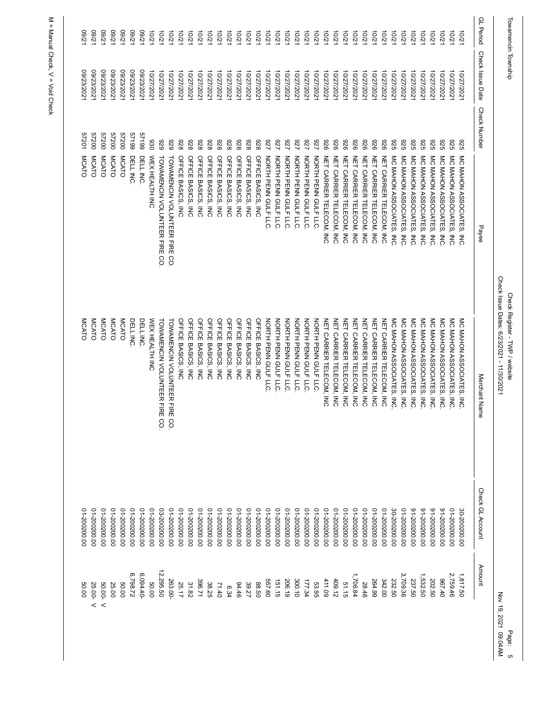|                  |                                                                                                                                  |                                                                                                                               |                                                                                                                                                                                                                                                                                                                                                                                                                                                                                                                                                                                                                             |                                                                                                                                                                                                                                                                    | Nov 19, 2021 09:04AM<br>Page:                                                                                                                                                                |
|------------------|----------------------------------------------------------------------------------------------------------------------------------|-------------------------------------------------------------------------------------------------------------------------------|-----------------------------------------------------------------------------------------------------------------------------------------------------------------------------------------------------------------------------------------------------------------------------------------------------------------------------------------------------------------------------------------------------------------------------------------------------------------------------------------------------------------------------------------------------------------------------------------------------------------------------|--------------------------------------------------------------------------------------------------------------------------------------------------------------------------------------------------------------------------------------------------------------------|----------------------------------------------------------------------------------------------------------------------------------------------------------------------------------------------|
| Check Issue Date | <b>Check Number</b>                                                                                                              | Payee                                                                                                                         | Merchant Name                                                                                                                                                                                                                                                                                                                                                                                                                                                                                                                                                                                                               | Check GL Account                                                                                                                                                                                                                                                   | Amount                                                                                                                                                                                       |
|                  |                                                                                                                                  | ξ                                                                                                                             |                                                                                                                                                                                                                                                                                                                                                                                                                                                                                                                                                                                                                             |                                                                                                                                                                                                                                                                    | 1,817.50                                                                                                                                                                                     |
|                  | 326                                                                                                                              | $\overline{5}$                                                                                                                | MC MAHON ASSOCIATES,<br>$\overline{5}$                                                                                                                                                                                                                                                                                                                                                                                                                                                                                                                                                                                      |                                                                                                                                                                                                                                                                    | 2,759.46                                                                                                                                                                                     |
| 10/27/202        | 326                                                                                                                              | $\overline{5}$                                                                                                                | MC MAHON ASSOCIATES,<br>$\overline{5}$                                                                                                                                                                                                                                                                                                                                                                                                                                                                                                                                                                                      | 00'002002-16                                                                                                                                                                                                                                                       | 07'196                                                                                                                                                                                       |
|                  |                                                                                                                                  |                                                                                                                               |                                                                                                                                                                                                                                                                                                                                                                                                                                                                                                                                                                                                                             |                                                                                                                                                                                                                                                                    | 202.50                                                                                                                                                                                       |
| 10/27/2021       | 329                                                                                                                              | $\overline{M}$                                                                                                                | MC MAHON ASSOCIATES,<br>$\overline{5}$                                                                                                                                                                                                                                                                                                                                                                                                                                                                                                                                                                                      | 00'002002-16                                                                                                                                                                                                                                                       | 1,532.50                                                                                                                                                                                     |
| 10/27/2021       | 326                                                                                                                              |                                                                                                                               | MC MAHON ASSOCIATES, INC                                                                                                                                                                                                                                                                                                                                                                                                                                                                                                                                                                                                    | 00'002002-16                                                                                                                                                                                                                                                       | 237.50                                                                                                                                                                                       |
| 10/27/202        | 329                                                                                                                              |                                                                                                                               | MC MAHON ASSOCIATES,<br>$\overline{5}$                                                                                                                                                                                                                                                                                                                                                                                                                                                                                                                                                                                      | 00'002002-10                                                                                                                                                                                                                                                       | 3,709.36                                                                                                                                                                                     |
| 10/27/202        | 322                                                                                                                              |                                                                                                                               | MC MAHON ASSOCIATES, INC                                                                                                                                                                                                                                                                                                                                                                                                                                                                                                                                                                                                    | 30-200200.00                                                                                                                                                                                                                                                       | 232.50                                                                                                                                                                                       |
| 10/27/2021       | 926                                                                                                                              |                                                                                                                               | NET CARRIER TELECOM, INC                                                                                                                                                                                                                                                                                                                                                                                                                                                                                                                                                                                                    |                                                                                                                                                                                                                                                                    | 342.00                                                                                                                                                                                       |
| 10/27/2021       | 926                                                                                                                              |                                                                                                                               | NET CARRIER TELECOM, INC                                                                                                                                                                                                                                                                                                                                                                                                                                                                                                                                                                                                    |                                                                                                                                                                                                                                                                    | 264.99                                                                                                                                                                                       |
| 10/27/202        | 926                                                                                                                              |                                                                                                                               | NET CARRIER TELECOM, INC                                                                                                                                                                                                                                                                                                                                                                                                                                                                                                                                                                                                    |                                                                                                                                                                                                                                                                    | 28.46                                                                                                                                                                                        |
| 10/27/202        | 926                                                                                                                              |                                                                                                                               | NET CARRIER TELECOM, INC                                                                                                                                                                                                                                                                                                                                                                                                                                                                                                                                                                                                    | 00'002002-10                                                                                                                                                                                                                                                       | 1,706.84                                                                                                                                                                                     |
| 10/27/202        | 926                                                                                                                              |                                                                                                                               | NET CARRIER TELECOM, INC                                                                                                                                                                                                                                                                                                                                                                                                                                                                                                                                                                                                    | 00'002002-10                                                                                                                                                                                                                                                       | 51.15                                                                                                                                                                                        |
| 10/27/2021       | 926                                                                                                                              |                                                                                                                               | NET CARRIER TELECOM, INC                                                                                                                                                                                                                                                                                                                                                                                                                                                                                                                                                                                                    | 00'002002-10                                                                                                                                                                                                                                                       | 409.12                                                                                                                                                                                       |
| 10/27/202        | 926                                                                                                                              |                                                                                                                               | NET CARRIER TELECOM, INC                                                                                                                                                                                                                                                                                                                                                                                                                                                                                                                                                                                                    | 00'002002-10                                                                                                                                                                                                                                                       | 411.09                                                                                                                                                                                       |
| 10/27/202        | <b>ZZ6</b>                                                                                                                       |                                                                                                                               | NORTH PENN GULF LLC.                                                                                                                                                                                                                                                                                                                                                                                                                                                                                                                                                                                                        | 00'002002-10                                                                                                                                                                                                                                                       | 53.95                                                                                                                                                                                        |
| 10/27/202        | 729                                                                                                                              |                                                                                                                               | NORTH PENN GULF LLC                                                                                                                                                                                                                                                                                                                                                                                                                                                                                                                                                                                                         | 00'002002-10                                                                                                                                                                                                                                                       | 177.34                                                                                                                                                                                       |
| 10/27/2021       | <b>ZZ6</b>                                                                                                                       |                                                                                                                               | NORTH PENN GULF LLC.                                                                                                                                                                                                                                                                                                                                                                                                                                                                                                                                                                                                        | 00'002002-10                                                                                                                                                                                                                                                       | 300.10                                                                                                                                                                                       |
|                  |                                                                                                                                  |                                                                                                                               |                                                                                                                                                                                                                                                                                                                                                                                                                                                                                                                                                                                                                             |                                                                                                                                                                                                                                                                    | 206.19                                                                                                                                                                                       |
|                  |                                                                                                                                  |                                                                                                                               |                                                                                                                                                                                                                                                                                                                                                                                                                                                                                                                                                                                                                             |                                                                                                                                                                                                                                                                    | 151.15                                                                                                                                                                                       |
|                  |                                                                                                                                  |                                                                                                                               |                                                                                                                                                                                                                                                                                                                                                                                                                                                                                                                                                                                                                             |                                                                                                                                                                                                                                                                    | 557.60<br>88.50                                                                                                                                                                              |
|                  |                                                                                                                                  |                                                                                                                               |                                                                                                                                                                                                                                                                                                                                                                                                                                                                                                                                                                                                                             |                                                                                                                                                                                                                                                                    | 39.27                                                                                                                                                                                        |
| 10/27/202        | 826                                                                                                                              |                                                                                                                               | OFFICE BASICS, INC                                                                                                                                                                                                                                                                                                                                                                                                                                                                                                                                                                                                          |                                                                                                                                                                                                                                                                    | 94.46                                                                                                                                                                                        |
| 10/27/202        | 826<br>OFFICE BASICS, INC                                                                                                        |                                                                                                                               | OFFICE BASICS, INC                                                                                                                                                                                                                                                                                                                                                                                                                                                                                                                                                                                                          | 00'002002-10                                                                                                                                                                                                                                                       | 6.34                                                                                                                                                                                         |
| 10/27/202        | 826<br>OFFICE BASICS, INC                                                                                                        |                                                                                                                               | OFFICE BASICS, INC                                                                                                                                                                                                                                                                                                                                                                                                                                                                                                                                                                                                          | 00'002002-10                                                                                                                                                                                                                                                       | 71.40                                                                                                                                                                                        |
| 10/27/2021       | 826<br>OFFICE BASICS, INC                                                                                                        |                                                                                                                               | OFFICE BASICS, INC                                                                                                                                                                                                                                                                                                                                                                                                                                                                                                                                                                                                          | 00'002002-10                                                                                                                                                                                                                                                       | 38.25                                                                                                                                                                                        |
| 10/27/2021       | 826<br>OFFICE BASICS, INC                                                                                                        |                                                                                                                               | OFFICE BASICS, INC                                                                                                                                                                                                                                                                                                                                                                                                                                                                                                                                                                                                          | 00'002002-10                                                                                                                                                                                                                                                       | 396.71                                                                                                                                                                                       |
| 10/27/202        | 826<br>OFFICE BASICS, INC                                                                                                        |                                                                                                                               | OFFICE BASICS, INC                                                                                                                                                                                                                                                                                                                                                                                                                                                                                                                                                                                                          | 00'002002-10                                                                                                                                                                                                                                                       | 31.82                                                                                                                                                                                        |
| 10/27/2021       | 826<br>OFFICE BASICS, INC                                                                                                        |                                                                                                                               | OFFICE BASICS, INC                                                                                                                                                                                                                                                                                                                                                                                                                                                                                                                                                                                                          | 00'002002-10                                                                                                                                                                                                                                                       | 25.17                                                                                                                                                                                        |
| 10/27/2021       | 626                                                                                                                              |                                                                                                                               | TOWAMENCIN VOLUNTEER FIRE CO.                                                                                                                                                                                                                                                                                                                                                                                                                                                                                                                                                                                               | 00'002002-10                                                                                                                                                                                                                                                       | 263.00-                                                                                                                                                                                      |
| 10/27/2021       | 626                                                                                                                              |                                                                                                                               | TOWAMENCIN VOLUNTEER FIRE CO.                                                                                                                                                                                                                                                                                                                                                                                                                                                                                                                                                                                               | 03-200200.00                                                                                                                                                                                                                                                       | 12,295.50                                                                                                                                                                                    |
| 10/27/2021       | 030<br>WEX HEALTH INC                                                                                                            |                                                                                                                               | WEX HEALTH INC                                                                                                                                                                                                                                                                                                                                                                                                                                                                                                                                                                                                              | 00'002002-10                                                                                                                                                                                                                                                       | 50.00                                                                                                                                                                                        |
| 09/23/202        | 66129<br>DELL INC.                                                                                                               |                                                                                                                               | DELL INC.                                                                                                                                                                                                                                                                                                                                                                                                                                                                                                                                                                                                                   | 00'002002-10                                                                                                                                                                                                                                                       | $6,094.40-$                                                                                                                                                                                  |
| 09/23/2021       | 66129<br>DELL INC.                                                                                                               |                                                                                                                               | DELL INC.                                                                                                                                                                                                                                                                                                                                                                                                                                                                                                                                                                                                                   | 00'002002-10                                                                                                                                                                                                                                                       | 6,798.72                                                                                                                                                                                     |
| 123/2021         | 00725<br><b>MCATO</b>                                                                                                            |                                                                                                                               | <b>MCATO</b>                                                                                                                                                                                                                                                                                                                                                                                                                                                                                                                                                                                                                | 00'002002-10                                                                                                                                                                                                                                                       | 50.00                                                                                                                                                                                        |
| 2023/202         | 00725<br>MCATO                                                                                                                   |                                                                                                                               | <b>MCATO</b>                                                                                                                                                                                                                                                                                                                                                                                                                                                                                                                                                                                                                | 00'002002-10                                                                                                                                                                                                                                                       | 25.00                                                                                                                                                                                        |
| 09/23/2021       | 00ZZS<br>MCATO                                                                                                                   |                                                                                                                               | MCATO                                                                                                                                                                                                                                                                                                                                                                                                                                                                                                                                                                                                                       | 01-200200.00                                                                                                                                                                                                                                                       | 50.00-V                                                                                                                                                                                      |
| 09/23/2021       | 00ZZS<br>MCATO                                                                                                                   |                                                                                                                               | MCATO                                                                                                                                                                                                                                                                                                                                                                                                                                                                                                                                                                                                                       | 00'002002-10                                                                                                                                                                                                                                                       | 25.00- V                                                                                                                                                                                     |
| 123/2021         | 57201<br>MCATO                                                                                                                   |                                                                                                                               | MCATO                                                                                                                                                                                                                                                                                                                                                                                                                                                                                                                                                                                                                       | 00'002002-10                                                                                                                                                                                                                                                       | 50.00                                                                                                                                                                                        |
|                  |                                                                                                                                  |                                                                                                                               |                                                                                                                                                                                                                                                                                                                                                                                                                                                                                                                                                                                                                             |                                                                                                                                                                                                                                                                    |                                                                                                                                                                                              |
|                  | Towamencin Township<br>10/27/2021<br>10/27/2021<br>10/27/2021<br>10/27/2021<br>10/27/2021<br>10/27/202<br>10/27/202<br>10/27/202 | 326<br>826<br>826<br>227<br><b>ZZ6</b><br><b>ZZ6</b><br>326<br>OFFICE BASICS, INC<br>OFFICE BASICS, INC<br>OFFICE BASICS, INC | MC MAHON ASSOCIATES,<br>MC MAHON ASSOCIATES,<br>TOWAMENCIN VOLUNTEER FIRE CO<br>NORTH PENN GULF LLC<br>NORTH PENN GULF LLC<br>NET CARRIER TELECOM, INC<br>NET CARRIER TELECOM, INC<br>NET CARRIER TELECOM, INC<br>MC MAHON ASSOCIATES, INC<br>MC MAHON ASSOCIATES, INC<br>MC MAHON ASSOCIATES,<br>TOWAMENCIN VOLUNTEER FIRE CO.<br>NORTH PENN GULF LLC<br>NORTH PENN GULF LLC<br>NORTH PENN GULF LLC<br>NORTH PENN GULF LLC<br>NET CARRIER TELECOM, INC<br>NET CARRIER TELECOM, INC<br>NET CARRIER TELECOM, INC<br>NET CARRIER TELECOM, INC<br>MC MAHON ASSOCIATES, INC<br>MC MAHON ASSOCIATES,<br>MC MAHON ASSOCIATES, INC | Check Issue Dates: 6/23/2021 - 11/30/2021<br>Check Register - TWP / website<br>OFFICE BASICS, INC<br>MC MAHON ASSOCIATES, INC<br>MC MAHON ASSOCIATES,<br>OFFICE BASICS, INC<br>NORTH PENN GULF LLC<br>NORTH PENN GULF LLC<br>NORTH PENN GULF LLC<br>$\overline{5}$ | 00'002002-10<br>00'002002-16<br>00'002002-10<br>00'002002-10<br>00'002002-10<br>00'002002-10<br>00'002002-10<br>00'002002-10<br>00'002002-10<br>00'002002-10<br>00'002002-10<br>30-200200.00 |

Page: 5<br>21 09:04AM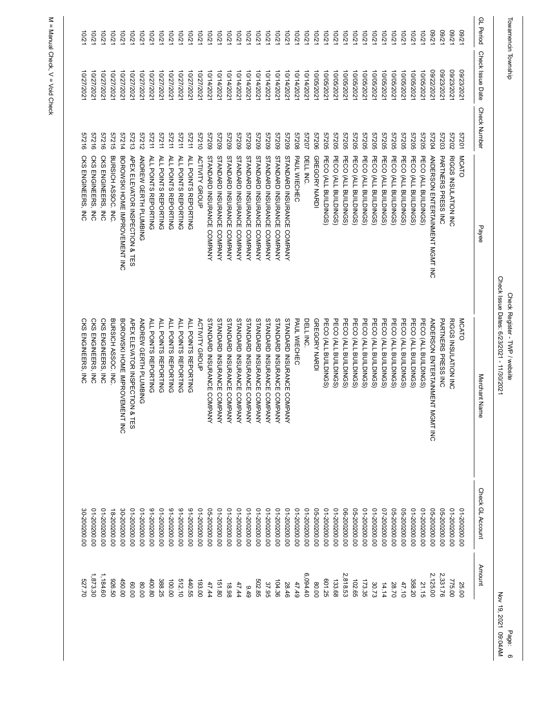|                  | Towamencin Township |                     |                                 | Check Issue Dates: 6/23/2021 - 11/30/2021<br>Check Register - TWP / website |                  | Nov 19, 202   |
|------------------|---------------------|---------------------|---------------------------------|-----------------------------------------------------------------------------|------------------|---------------|
| <b>GL</b> Period | Check Issue Date    | <b>Check Number</b> | Payee                           | Merchant Nam<br>ወ                                                           | Check GL Account | <b>Amount</b> |
| .7/60            | 09/23/202           | 57201               | MCATO                           | MCATO                                                                       | 01-200200.00     | 25.00         |
| 17/60            | 09/23/202           | 27202               | RIGGS INSULATION INC            | RIGGS INSULATION INC                                                        | 00'002002-10     | 775.00        |
| 17/60            | 09/23/202           | 57203               | <b>PARTNERS PRESS INC</b>       | <b>PARTNERS PRESS INC</b>                                                   | 05-200200.00     | 2,331.76      |
| 7/60             | 09/22/2021          | 57204               | ANDERSON ENTERTAINMENT MGMT INC | <b>ANDERSON ENTERTAINMENT M</b><br><b>GMT INC</b>                           | 05-200200.00     | 2,125.00      |
| 12/01            | 10/05/202           | 57205               | PECO (ALL BUILDINGS)            | PECO (ALL BUILDINGS)                                                        | 00'002002-10     | 21.15         |
| 10/21            | 10/05/2021          | <b>57205</b>        | PECO (ALL BUILDINGS)            | PECO (ALL BUILDINGS)                                                        | 00'002002-10     | 358.20        |
| 10/21            | 10/05/2021          | 57205               | PECO (ALL BUILDINGS)            | PECO (ALL BUILDINGS)                                                        | 05-200200.00     | 47.10         |
| $-2/2$           | 10/05/202           | 57205               | PECO (ALL BUILDINGS             | PECO (ALL BUILDINGS)                                                        | 05-200200.00     | 28.70         |
| 10/21            | 10/05/2021          | 57205               | PECO (ALL BUILDINGS)            | PECO (ALL BUILDINGS)                                                        | 02-200200.00     | 14.14         |
| 10/21            | 10/05/2021          | 57205               | PECO (ALL BUILDINGS)            | PECO (ALL BUILDINGS)                                                        | 00'002002-10     | 30.73         |
| $-201$           | 10/05/202           | 57205               | PECO (ALL BUILDINGS             | PECO (ALL BUILDINGS)                                                        | 00'002002-10     | 173.35        |
| 10/21            | 10/05/202           | 57205               | PECO (ALL BUILDINGS             | PECO (ALL BUILDINGS)                                                        | 05-200200.00     | 102.65        |
| 10/21            | 10/05/2021          | 57205               | PECO (ALL BUILDINGS             | PECO (ALL BUILDINGS)                                                        | 06-200200.00     | 2,818.53      |
| $-2001$          | 10/05/202           | 57205               | PECO (ALL BUILDINGS             | PECO (ALL BUILDINGS)                                                        | 00'002002-10     | 133.68        |
| 10/2             | 10/05/202           | 57205               | PECO (ALL BUILDINGS             | PECO (ALL BUILDINGS)                                                        | 00'002002-10     | 601.25        |
| 12/01            | 10/05/2021          | 90725               | GREGORY NARDI                   | GREGORY NARDI                                                               | 05-200200.00     | 80.00         |
| 10/21            | 10/14/2021          | 27207               | DELL INC.                       | DELL INC.                                                                   | 00'002002-10     | 6,094.40      |
| 10/2             | 10/14/2021          | 87208               | PAUL WIECHEC                    | PAUL WIECHEC                                                                | 00'002002-10     | 47.49         |
| 10/2             | 10/14/202           | 60725               | STANDARD INSURANCE COMPANY      | STANDARD INSURANCE COMPANY                                                  | 01-200200.00     | 28.46         |
| 10/21            | 10/14/2021          | 60ZZ9               | STANDARD INSURANCE COMPANY      | STANDARD INSURANCE COMPANY                                                  | 00'002002-10     | 104.36        |
| 10/21            | 10/14/2021          | 60ZZ9               | STANDARD INSURANCE COMPANY      | STANDARD INSURANCE COMPANY                                                  | 00'002002-10     | 37.95         |
| $-201$           | 10/14/202           | 60ZZ9               | STANDARD INSURANCE COMPANY      | <b>STANDARD INSURANCE</b><br>COMPANY                                        | 00'002002-10     | 502.85        |
| 10/21            | 10/14/2021          | 60ZZ9               | STANDARD INSURANCE COMPANY      | STANDARD INSURANCE COMPANY                                                  | 00'002002-10     | 9.49          |
| 10/21            | 10/14/2021          | 60725               | STANDARD INSURANCE COMPANY      | STANDARD INSURANCE COMPANY                                                  | 00'002002-10     | 47.44         |
| $-201$           | 10/14/202           | 60725               | STANDARD INSURANCE COMPANY      | STANDARD INSURANCE COMPANY                                                  | 01-200200.00     | 18.98         |
| 10/2             | 10/14/2021          | 60ZZS               | STANDARD INSURANCE COMPANY      | STANDARD INSURANCE COMPANY                                                  | 00'002002-10     | 151.80        |
| 10/21            | 10/14/2021          | 60ZZS               | STANDARD INSURANCE COMPANY      | STANDARD INSURANCE COMPANY                                                  | 05-200200.00     | 47.44         |
| $-201$           | 10/27/2021          | 01719               | <b>ACTIVITY GROUP</b>           | <b>ACTIVITY GROUP</b>                                                       | 01-200200.00     | 193.00        |
| 10/2             | 10/27/2021          | 57211               | ALL POINTS REPORTING            | <b>ALL POINTS REPORTING</b>                                                 | 00'002002-16     | 440.55        |
| 10/2             | 10/27/2021          | 57211               | ALL POINTS REPORTING            | ALL POINTS REPORTING                                                        | 00'002002-16     | 512.10        |
| 10/21            | 10/27/2021          | 57211               | ALL POINTS REPORTING            | ALL POINTS REPORTING                                                        | 00'002002-16     | 100.00        |
| 10/2             | 10/27/202           | 57211               | ALL POINTS REPORTING            | ALL POINTS REPORTING                                                        | 00'002002-10     | 388.25        |
| 201              | 10/27/202           | 57211               | ALL POINTS REPORTING            | ALL POINTS REPORTING                                                        | 00'002002-16     | 400.80        |
| 10/21            | 10/27/2021          | 27212               | ANDREW GERTH PLUMBING           | ANDREW GERTH PLUMBING                                                       | 00'002002-10     | 80.00         |
| $-2701$          | 10/27/2021          | 57213               | APEX ELEVATOR INSPECTION & TES  | APEX ELEVATOR INSPECTION &<br><b>TES</b>                                    | 00'002002-10     | 00.00         |
| 10/2             | 10/27/202           | 57214               | BOROWSKI HOME IMPDOVENT INC     | BOROWSKI HONE IMPROVENTHING                                                 | 30-200200.00     | 450.00        |
| 10/21            | 10/27/2021          | 57215               | BURSICH ASSOC. INC.             | BURSICH ASSOC. INC.                                                         | 18-200200.00     | 05'976        |
| 10/21            | 10/27/2021          | 57216               | CKS ENGINEERS, INC              | CKS ENGINEERS, INC                                                          | 00'002002-10     | 1,184.60      |
| 10/21            | 10/27/202           | 91719               | CKS ENGINEERS, INC              | CKS ENGINEERS, INC                                                          | 01-200200.00     | 1,873.30      |
| $\overline{2,0}$ | 10/27/202           | 91219               | CKS ENGINEERS, INC              | <b>CKS ENGINEERS, INC</b>                                                   | 30-200200.00     | 02'129        |
|                  |                     |                     |                                 |                                                                             |                  |               |

> Page: 6<br>Page: 6<br>6<br>MAAM Nov 19, 2021 09:04AM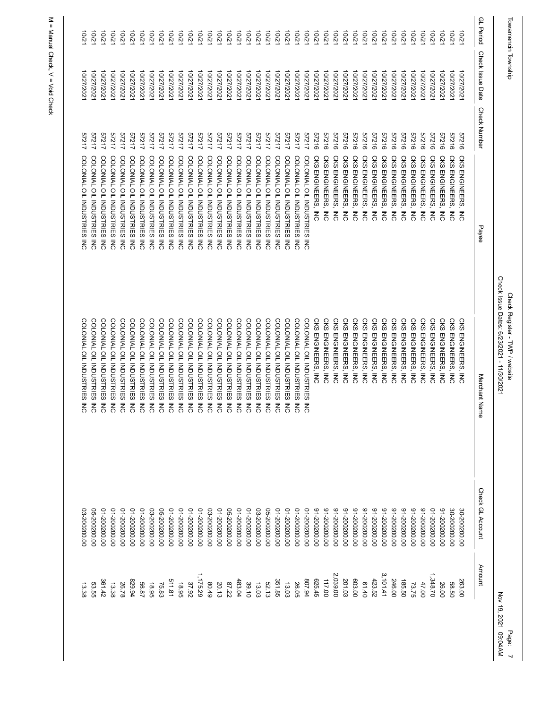| Towamencin Township |                  |                                                     |                | Check Issue Dates: 6/23/2021 - 11/30/2021<br>Check Register - TWP / website |                  | Nov 19, 2021 09:04AM<br>Page: |  |
|---------------------|------------------|-----------------------------------------------------|----------------|-----------------------------------------------------------------------------|------------------|-------------------------------|--|
| GL Period           | Check Issue Date | <b>Check Number</b>                                 | Payee          | Merchant Name                                                               | Check GL Account | Amount                        |  |
| 201                 | 10/27/202        | 91719<br><b>CKS</b><br>ENGINEERS,<br>ξ              |                | <b>CKS</b><br><b>ENGINEERS</b><br>ξ                                         | 00'002002-08     | 263.00                        |  |
| 12/01               | 10/27/2021       | 91219<br><b>CKS</b><br>ENGINEERS,<br>ξ              |                | CKS<br>ENGINEERS,<br>ξ                                                      | 30-200200.00     | 58.50                         |  |
| 12/01               | 10/27/2021       | 91219<br><b>CKS</b><br>ENGINEERS,<br>ξ              |                | <b>CKS</b><br>ENGINEERS,<br>์<br>ลี                                         | 00'002002-16     | 26.00                         |  |
| 12/01               | 10/27/2021       | 91219<br><b>CKS</b><br>ENGINEERS,<br>$\overline{5}$ |                | <b>CKS</b><br>ENGINEERS,<br>$\overline{5}$                                  | 00'002002-10     | 1,348.70                      |  |
| 12/01               | 10/27/2021       | 57216<br><b>CKS</b><br>ENGINEERS,<br>$\overline{5}$ |                | <b>CKS</b><br>ENGINEERS,<br>$\overline{5}$                                  | 00'002002-16     | 47.00                         |  |
| 10/21               | 10/27/202        | 57216<br><b>CKS</b><br>ENGINEERS,<br>$\overline{5}$ |                | <b>CKS</b><br>ENGINEERS,<br>$\overline{5}$                                  | 00'002002-16     | 73.75                         |  |
| 10/21               | 10/27/2021       | 57216<br><b>CKS</b><br>ENGINEERS,<br>$\overline{5}$ |                | <b>CKS</b><br>ENGINEERS,<br>$\overline{5}$                                  | 00'002002-16     | 185.50                        |  |
| 12/01               | 10/27/2021       | 57216<br><b>CKS</b><br>ENGINEERS,<br>$\overline{5}$ |                | <b>CKS</b><br>ENGINEERS,<br>$\overline{5}$                                  | 00'002002-16     | 246.00                        |  |
| $-201$              | 10/27/202        | 57216<br>CKS<br>ENGINEERS,<br>$\overline{5}$        |                | <b>CKS</b><br>ENGINEERS,<br>$\overline{5}$                                  | 00'002002-16     | 3,101.41                      |  |
| 10/21               | 10/27/2021       | 57216<br><b>CKS</b><br>ENGINEERS,<br>ξ              |                | <b>CKS</b><br>ENGINEERS, INC                                                | 00'002002-16     | 423.52                        |  |
| 10/21               | 10/27/2021       | 57216<br><b>CKS</b><br>ENGINEERS,<br>$\overline{5}$ |                | <b>CKS</b><br>ENGINEERS,<br>์<br>ลี                                         | 00'002002-16     | 61.40                         |  |
| 12/01               | 10/27/2021       | 91719<br><b>CKS</b><br>ENGINEERS,<br>ξ              |                | <b>CKS</b><br>ENGINEERS,<br>$\overline{5}$                                  | 00'002002-16     | 603.00                        |  |
| 12/01               | 10/27/2021       | 57216<br><b>CKS</b><br>ENGINEERS,<br>$\overline{5}$ |                | <b>CKS</b><br>ENGINEERS,<br>$\overline{5}$                                  | 00'002002-16     | 201.03                        |  |
| 12/01               | 10/27/202        | 91219<br><b>CKS</b><br>ENGINEERS,<br>$\overline{5}$ |                | <b>CKS</b><br>ENGINEERS, INC                                                | 00'002002-16     | 2,039.00                      |  |
| 10/21               | 10/27/2021       | 91719<br>CKS ENGINEERS,<br>์≡<br>ลี                 |                | CKS<br>ENGINEERS, INC                                                       | 00'002002-16     | 117.00                        |  |
| 12/01               | 10/27/2021       | 91216<br>CKS ENGINEERS, INC                         |                | <b>CKS ENGINEERS, INC</b>                                                   | 00'002002-16     | 625.45                        |  |
| $-2001$             | 10/27/202        | 57217<br>COLONIAL OIL INDUSTRIES                    | $\overline{5}$ | COLONIAL OIL INDUSTRIES INC                                                 | 00'002002-10     | 807.94                        |  |
| 10/21               | 10/27/2021       | 57217<br>COLONIAL OIL INDUSTRIES                    | i<br>Ko        | COLONIAL OIL INDUSTRIES INC                                                 | 00'002002-10     | 26.05                         |  |
| 10/21               | 10/27/2021       | 57217<br>COLONIAL OIL INDUSTRIES                    | $\frac{1}{5}$  | COLONIAL OIL INDUSTRIES INC                                                 | 00'002002-10     | 13.03                         |  |
| 12/01               | 10/27/202        | 57217<br>COLONIAL OIL INDUSTRIES INC                |                | COLONIAL OIL INDUSTRIES INC                                                 | 00'002002-10     | 351.85                        |  |
| 12/01               | 10/27/2021       | 57217<br>COLONIAL OIL INDUSTRIES                    | $\overline{5}$ | COLONIAL OIL INDUSTRIES INC                                                 | 05-200200.00     | 52.13                         |  |
| 12/01               | 10/27/202        | 57217<br>COLONIAL OIL INDUSTRIES                    | $\overline{5}$ | COLONIAL OIL INDUSTRIES INC                                                 | 03-200200.00     | 13.03                         |  |
| 10/21               | 10/27/2021       | 57217<br>COLONIAL OIL INDUSTRIES INC                |                | COLONIAL OIL INDUSTRIES INC                                                 | 00'002002-10     | 39.10                         |  |
| 12/01               | 10/27/2021       | 57217<br>COLONIAL OIL INDUSTRIES                    | $\frac{1}{5}$  | COLONIAL OIL INDUSTRIES INC                                                 | 00'002002-10     | 483.04                        |  |
| 12/01               | 10/27/202        | 57217<br>COLONIAL OIL INDUSTRIES                    | $\overline{5}$ | COLONIAL OIL INDUSTRIES INC                                                 | 05-200200.00     | 87.22                         |  |
| 10/21               | 10/27/2021       | 57217<br>COLONIAL OIL INDUSTRIES                    | ₹<br>S         | COLONIAL OIL INDUSTRIES INC                                                 | 00'002002-10     | 20.13                         |  |
| 10/21               | 10/27/2021       | 57217<br>COLONIAL OIL INDUSTRIES                    | $\overline{5}$ | COLONIAL OIL INDUSTRIES INC                                                 | 03-200200.00     | 80.49                         |  |
| 12/01               | 10/27/2021       | 57217<br>COLONIAL OIL INDUSTRIES                    | $\frac{1}{5}$  | COLONIAL OIL INDUSTRIES INC                                                 | 00'002002-10     | 1,175.29                      |  |
| 10/21               | 10/27/2021       | 57217<br>COLONIAL OIL INDUSTRIES                    | $\frac{1}{5}$  | COLONIAL OIL INDUSTRIES INC                                                 | 00'002002-10     | 37.92                         |  |
| 10/21               | 10/27/2021       | 57217<br>COLONIAL OIL INDUSTRIES                    | $\overline{5}$ | COLONIAL OIL INDUSTRIES INC                                                 | 00'002002-10     | 18.95                         |  |
| 10/21               | 10/27/2021       | 57217<br>COLONIAL OIL INDUSTRIES INC                |                | COLONIAL OIL INDUSTRIES INC                                                 | 00'002002-10     | 511.81                        |  |
| 12/01               | 10/27/2021       | 57217<br>COLONIAL OIL INDUSTRIES                    | $\overline{5}$ | COLONIAL OIL INDUSTRIES INC                                                 | 05-200200.00     | 75.83                         |  |
| 10/21               | 10/27/202        | 57217<br>COLONIAL OIL INDUSTRIES                    | $\overline{5}$ | COLONIAL OIL INDUSTRIES INC                                                 | 03-200200.00     | 18.95                         |  |
| 10/21               | 10/27/2021       | 57217<br>COLONIAL OIL INDUSTRIES                    | ₹<br>5         | COLONIAL OIL INDUSTRIES INC                                                 | 00'002002-10     | 56.87                         |  |
| 10/21               | 10/27/2021       | 57217<br>COLONIAL OIL INDUSTRIES                    | $\frac{1}{5}$  | COLONIAL OIL INDUSTRIES INC                                                 | 00'002002-10     | 829.94                        |  |
| $-201$              | 10/27/2021       | 57217<br>COLONIAL OIL INDUSTRIES                    | $\frac{1}{5}$  | COLONIAL OIL INDUSTRIES INC                                                 | 00'002002-10     | 26.78                         |  |
| 10/21               | 10/27/2021       | 57217<br>COLONIAL OIL INDUSTRIES                    | $\overline{5}$ | COLONIAL OIL INDUSTRIES INC                                                 | 00'002002-10     | 13.38                         |  |
| 10/21               | 10/27/2021       | 57217<br>COLONIAL OIL INDUSTRIES                    | ₹<br>S         | COLONIAL OIL INDUSTRIES INC                                                 | 00'002002-10     | 361.42                        |  |
| 10/21               | 10/27/2021       | 57217<br>COLONIAL OIL INDUSTRIES INC                |                | COLONIAL OIL INDUSTRIES INC                                                 | 05-200200.00     | 53.55                         |  |
| $\overline{5}$      | 10/27/2021       | 57217<br>COLONIAL OIL INDUSTRIES                    | ₹<br>S         | COLONIAL OIL INDUSTRIES INC                                                 | 03-200200.00     | 13.38                         |  |
|                     |                  |                                                     |                |                                                                             |                  |                               |  |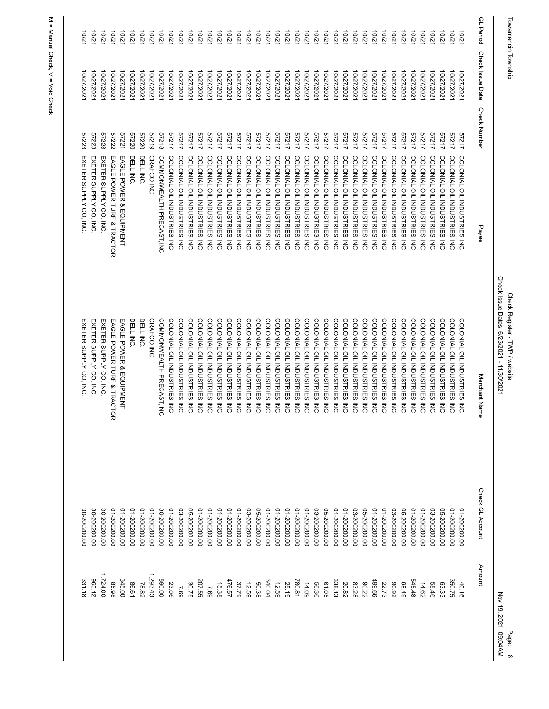| Towamencin Township |                          |                     |                                                                           | Check Issue Dates: 6/23/2021 - 11/30/2021<br>Check Register - TWP / website |                              | Nov 19, 2021 09:04AM<br>Page: |
|---------------------|--------------------------|---------------------|---------------------------------------------------------------------------|-----------------------------------------------------------------------------|------------------------------|-------------------------------|
| <b>GL</b> Period    | Check Issue Date         | <b>Check Number</b> | Payee                                                                     | Merchant Name                                                               | Check GL Account             | Amount                        |
| $-201$              | 10/27/202                | 57217               | COLONIAL OIL INDUSTRIES<br><b>NC</b>                                      | COLONIAL OIL INDUSTRIES INC                                                 | 00'002002-10                 | 40.16                         |
| 10/21               | 10/27/2021               | 57217               | COLONIAL OIL INDUSTRIES<br>ξ                                              | COLONIAL OIL INDUSTRIES INC                                                 | 00'002002-10                 | 350.75                        |
| 10/21               | 10/27/202                | 57217               | COLONIAL OIL INDUSTRIES INC                                               | COLONIAL OIL INDUSTRIES INC                                                 | 05-200200.00                 | 63.33                         |
| 10/21               | 10/27/2021               | 57217               | COLONIAL OIL INDUSTRIES<br><b>MC</b>                                      | COLONIAL OIL INDUSTRIES INC                                                 | 03-200200.00                 | 58.46                         |
| 10/21               | 10/27/2021               | 57217               | COLONIAL OIL INDUSTRIES<br>M<br>C                                         | COLONIAL OIL INDUSTRIES INC                                                 | 00'002002-10                 | 14.62                         |
| 10/21               | 10/27/2021               | 57217               | COLONIAL OIL INDUSTRIES INC                                               | COLONIAL OIL INDUSTRIES INC                                                 | 00'002002-10                 | 545.48                        |
| 10/21               | 10/27/2021               | 57217               | COLONIAL OIL INDUSTRIES<br>$\overline{5}$                                 | COLONIAL OIL INDUSTRIES INC                                                 | 05-200200.00                 | 88.49                         |
| 10/21               | 10/27/202                | 57217               | COLONIAL OIL INDUSTRIES<br>M<br>6                                         | COLONIAL OIL INDUSTRIES INC                                                 | 03-200200.00                 | 26'06                         |
| 10/21               | 10/27/2021               | 57217               | COLONIAL OIL INDUSTRIES<br>ξ                                              | COLONIAL OIL INDUSTRIES INC                                                 | 00'002002-10                 | 22.73                         |
| 10/21               | 10/27/2021               | 57217               | COLONIAL OIL INDUSTRIES<br>ξ                                              | COLONIAL OIL INDUSTRIES INC                                                 | 00'002002-10                 | 499.66                        |
| 10/21               | 10/27/2021               | 57217               | COLONIAL OIL INDUSTRIES<br>MC<br>C                                        | COLONIAL OIL INDUSTRIES INC                                                 | 05-200200.00                 | 80.22                         |
| 10/21               | 10/27/2021               | 57217               | COLONIAL OIL INDUSTRIES INC                                               | COLONIAL OIL INDUSTRIES INC                                                 | 03-200200.00                 | 83.28                         |
| 10/21               | 10/27/2021               | 57217               | COLONIAL OIL INDUSTRIES<br>$\overline{5}$                                 | COLONIAL OIL INDUSTRIES INC                                                 | 00'002002-10                 | 20.82                         |
| 10/21               | 10/27/2021               | 57217               | COLONIAL OIL INDUSTRIES INC                                               | COLONIAL OIL INDUSTRIES INC                                                 | 00'002002-10                 | 338.13                        |
| 10/21               | 10/27/2021               | 57217               | COLONIAL OIL INDUSTRIES<br>$\overline{5}$                                 | COLONIAL OIL INDUSTRIES INC                                                 | 05-200200.00                 | 61.05                         |
| 10/21<br>10/21      | 10/27/2021<br>10/27/2021 | 57217<br>57217      | COLONIAL OIL INDUSTRIES<br>COLONIAL OIL INDUSTRIES<br>$\overline{5}$<br>ξ | COLONIAL OIL INDUSTRIES INC<br>COLONIAL OIL INDUSTRIES INC                  | 00'002002-10<br>03-200200.00 | 14.09<br>56.36                |
| 10/21               | 10/27/2021               | 57217               | COLONIAL OIL INDUSTRIES<br>ξ                                              | COLONIAL OIL INDUSTRIES INC                                                 | 00'002002-10                 | 780.81                        |
| 10/21               | 10/27/202                | 57217               | COLONIAL OIL INDUSTRIES<br><b>NC</b>                                      | COLONIAL OIL INDUSTRIES INC                                                 | 00'002002-10                 | 25.19                         |
| 10/21               | 10/27/2021               | 57217               | COLONIAL OIL INDUSTRIES<br>ξ                                              | COLONIAL OIL INDUSTRIES INC                                                 | 00'002002-10                 | 12.59                         |
| 10/21               | 10/27/2021               | 57217               | COLONIAL OIL INDUSTRIES INC                                               | COLONIAL OIL INDUSTRIES INC                                                 | 00'002002-10                 | 340.04                        |
| 10/21               | 10/27/2021               | 57217               | COLONIAL OIL INDUSTRIES<br>MC<br>C                                        | COLONIAL OIL INDUSTRIES INC                                                 | 05-200200.00                 | 50.38                         |
| 10/21               | 10/27/2021               | 57217               | COLONIAL OIL INDUSTRIES INC                                               | COLONIAL OIL INDUSTRIES INC                                                 | 03-200200.00                 | 12.59                         |
| 10/21               | 10/27/2021               | 57217               | COLONIAL OIL INDUSTRIES<br>$\overline{5}$                                 | COLONIAL OIL INDUSTRIES INC                                                 | 00'002002-10                 | 37.79                         |
| 10/21               | 10/27/2021               | 57217               | COLONIAL OIL INDUSTRIES INC                                               | COLONIAL OIL INDUSTRIES INC                                                 | 00'002002-10                 | 476.57                        |
| 10/21               | 10/27/2021               | 57217               | COLONIAL OIL INDUSTRIES<br>ξ                                              | COLONIAL OIL INDUSTRIES INC                                                 | 00'002002-10                 | 15.38                         |
| 10/21               | 10/27/2021               | 57217               | COLONIAL OIL INDUSTRIES INC                                               | COLONIAL OIL INDUSTRIES INC                                                 | 00'002002-10                 | 69 <sup>-</sup>               |
| 10/21               | 10/27/2021               | 57217               | COLONIAL OIL INDUSTRIES INC                                               | COLONIAL OIL INDUSTRIES INC                                                 | 00'002002-10                 | 207.55                        |
| 10/21               | 10/27/2021               | 57217               | COLONIAL OIL INDUSTRIES INC                                               | COLONIAL OIL INDUSTRIES INC                                                 | 05-200200.00                 | 30.75                         |
| 10/21               | 10/27/2021               | 57217               | COLONIAL OIL INDUSTRIES<br>$\overline{5}$                                 | COLONIAL OIL INDUSTRIES INC                                                 | 03-200200.00                 | 69'Z                          |
| 10/21               | 10/27/2021               | 57217               | COLONIAL OIL INDUSTRIES INC                                               | COLONIAL OIL INDUSTRIES INC                                                 | 00'002002-10                 | 23.06                         |
| 10/21               | 10/27/2021               | 87218               | COMMONWEALTH PRECAST, INC                                                 | COMMONWEALTH PRECAST, INC                                                   | 30-200200.00                 | 00'068                        |
| 10/21               | 10/27/2021               | 61219               | <b>CRAFCO INC</b>                                                         | CRAFCO INC                                                                  | 00'002002-10                 | 1,293.43                      |
| 10/21               | 10/27/2021               | 0ZZZ9               | DELL INC.                                                                 | DELL INC.                                                                   | 00'002002-10                 | 78.82                         |
| 10/21               | 10/27/2021               | 57220               | DELL INC.                                                                 | DELL INC.                                                                   | 00'002002-10                 | 86.61                         |
| 10/21               | 10/27/2021               | 57221               | EAGLE POWER & EQUIPMENT                                                   | EAGLE POWER & EQUIPMENT                                                     | 00'002002-10                 | 345.00                        |
| 10/21               | 10/27/2021               | 57222               | EAGLE POWER TURF & TRACTOR                                                | EAGLE POWER TURF & TRACTOR                                                  | 00'002002-10                 | 85.98                         |
| 10/21               | 10/27/2021               | 57223               | EXETER SUPPLY CO, INC.                                                    | EXETER SUPPLY CO, INC.                                                      | 30-200200.00                 | 1,724.00                      |
| 10/21               | 10/27/2021               | 57223               | EXETER SUPPLY CO, INC                                                     | EXETER SUPPLY CO, INC                                                       | 00'002002-08                 | 963.12                        |
| 12/01               | 10/27/2021               | 57223               | EXETER SUPPLY CO, INC                                                     | EXETER SUPPLY CO, INC                                                       | 00'002002-08                 | 331.18                        |
|                     |                          |                     |                                                                           |                                                                             |                              |                               |

Page: 8<br>21 09:04AM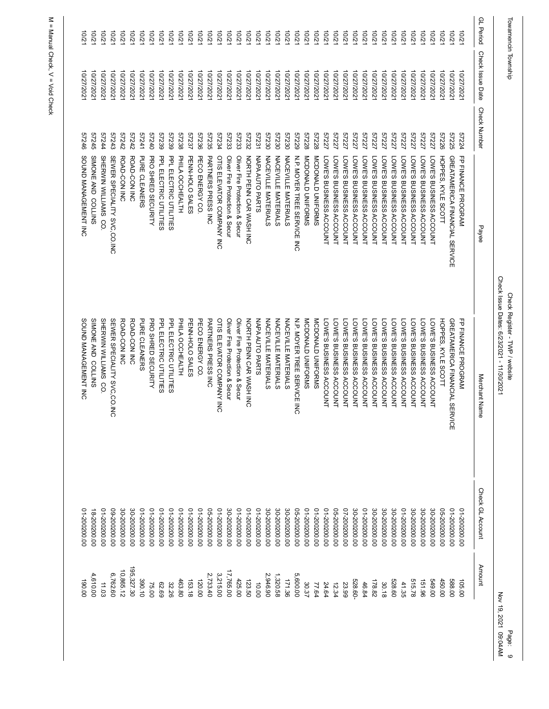| 190.00                        | 00'002002-10     | SOUND MANAGEMENT INC                                                        | SOUND MANAGEMENT INC           | 97246               | 10/27/202           | 12/01            |
|-------------------------------|------------------|-----------------------------------------------------------------------------|--------------------------------|---------------------|---------------------|------------------|
| 4,610.00                      | 18-200200.00     | SIMONE AND COLLINS                                                          | SIMONE AND COLLINS             | 57245               | 10/27/2021          | 10/21            |
| 11.03                         | 00'002002-10     | SHERWIN WILLIAMS CO.                                                        | SHERWIN WILLIAMS CO.           | 57244               | 10/27/2021          | 10/21            |
| 6,762.60                      | 09-200200.00     | SEWER SPECIALITY SVC,CO.INC                                                 | SEWER SPECIALITY SVC, CO. INC  | 57243               | 10/27/202           | 10/2             |
| 10,865.12                     | 00'002002-08     | ROAD-CON INC                                                                | ROAD-CON INC                   | 27242               | 10/27/2021          | $-2701$          |
| 195,327.30                    | 30-200200.00     | ROAD-CON INC                                                                | ROAD-CON INC                   | 27242               | 10/27/2021          | 10/21            |
| 390.10                        | 01-200200.00     | <b>PURE CLEANERS</b>                                                        | <b>PURE CLEANERS</b>           | 57241               | 10/27/202           | 201              |
| 75.00                         | 00'002002-10     | PRO SHRED SECURITY                                                          | PRO SHRED SECURITY             | 07240               | 10/27/2021          | 10/2             |
| 63.69                         | 00'002002-10     | PPL ELECTRIC UTILITIES                                                      | PPL ELECTRIC UTILITIES         | 57239               | 10/27/2021          | 10/21            |
| 32.26                         | 00'002002-10     | PPL ELECTRIC UTILITIES                                                      | PPL ELECTRIC UTILITIES         | 6223                | 10/27/202           | 12/01            |
| 463.80                        | 00'002002-10     | PHILA OCCHEALTH                                                             | PHILA OCCHEALTH                | 57238               | 10/27/2021          | $-201$           |
| 153.18                        | 00'002002-10     | PENN-HOLO SALES                                                             | PENN-HOLO SALES                | 57237               | 10/27/202           | $-201$           |
| 120.00                        | 00'002002-10     | PECO ENERGY CO.                                                             | PECO ENERGY CO.                | 57236               | 10/27/2021          | 10/21            |
| 2,733.40                      | 05-200200.00     | <b>PARTNERS PRESS INC</b>                                                   | <b>PARTNERS PRESS INC</b>      | 57235               | 10/27/2021          | 10/2             |
| 3,215.00                      | 01-200200.00     | OTIS ELEVATOR COMPANY INC                                                   | OTIS ELEVATOR COMPANY INC      | 57234               | 10/27/202           | $-201$           |
| 17,765.00                     | 30-200200.00     | Oliver Fire Protection & Secur                                              | Oliver Fire Protection & Secur | 57233               | 10/27/2021          | 10/21            |
| 425.00                        | 00'002002-10     | Oliver Fire Protection & Secur                                              | Oliver Fire Protection & Secur | 57233               | 10/27/2021          | 10/21            |
| 123.50                        | 00'002002-10     | NORTH PENN CAR WASH INC                                                     | NORTH PENN CAR WASH INC        | 57232               | 10/27/202           | $-2/2$           |
| 10.00                         | 00'002002-10     | <b>NAPA AUTO PARTS</b>                                                      | <b>NAPAAUTO PARTS</b>          | 57231               | 10/27/2021          | 12/01            |
| 2,946.90                      | 30-200200.00     | NACEVILLE MATERIALS                                                         | NACEVILLE MATERIALS            | 57230               | 10/27/2021          | 10/21            |
| 1,320.58                      | 30-200200.00     | NACEVILLE MATERIALS                                                         | NACEVILLE MATERIALS            | 57230               | 10/27/202           | 10/2             |
| 171.36                        | 30-200200.00     | NACEVILLE MATERIALS                                                         | NACEVILLE MATERIALS            | 57230               | 10/27/2021          | $-2/2$           |
| 5,600.00                      | 05-200200.00     | N.P. MOYER TREE SERVICE INC                                                 | N.P. MOYER TREE SERVICE INC    | 62229               | 10/27/2021          | 10/21            |
| 30.37                         | 00'002002-10     | MCDONALD UNIFORMS                                                           | MCDONALD UNIFORMS              | 57228               | 10/27/202           | 12/01            |
| 77.64                         | 00'002002-10     | MCDONALD UNIFORMS                                                           | MCDONALD UNIFORMS              | 57228               | 10/27/202           | 10/2             |
| 24.64                         | 00'002002-10     | LOWE'S BUSINESS ACCOUNT                                                     | LOWE'S BUSINESS ACCOUNT        | 57227               | 10/27/202           | $-2001$          |
| 12.34                         | 00'002002-90     | LOWE'S BUSINESS ACCOUNT                                                     | LOWE'S BUSINESS ACCOUNT        | 57227               | 10/27/2021          | 12/01            |
| 23.99                         | 07-200200.00     | LOWE'S BUSINESS ACCOUNT                                                     | LOWE'S BUSINESS ACCOUNT        | 57227               | 10/27/202           | 10/21            |
| 528.60-                       | 30-200200.00     | LOWE'S BUSINESS ACCOUNT                                                     | -OWE'S BUSINESS ACCOUNT        | 57227               | 10/27/202           | 10/2             |
| 46.84                         | 00'002002-10     | <b>LOWE'S BUSINESS ACCOUNT</b>                                              | LOWE'S BUSINESS ACCOUNT        | 57227               | 10/27/2021          | 10/21            |
| 178.82                        | 30-200200.00     | LOWE'S BUSINESS ACCOUNT                                                     | LOWE'S BUSINESS ACCOUNT        | 57227               | 10/27/2021          | 10/21            |
| 30.18                         | 30-200200.00     | LOWE'S BUSINESS ACCOUNT                                                     | -OWE'S BUSINESS ACCOUNT        | 57227               | 10/27/202           | 10/2             |
| 528.60                        | 30-200200.00     | LOWE'S BUSINESS ACCOUNT                                                     | -OWE'S BUSINESS ACCOUNT        | 57227               | 10/27/2021          | 10/21            |
| 41.35                         | 00'002002-10     | LOWE'S BUSINESS ACCOUNT                                                     | LOWE'S BUSINESS ACCOUNT        | 57227               | 10/27/2021          | 10/21            |
| 515.78                        | 30-200200.00     | LOWE'S BUSINESS ACCOUNT                                                     | LOWE'S BUSINESS ACCOUNT        | 57227               | 10/27/202           | 10/21            |
| 151.96                        | 30-200200.00     | LOWE'S BUSINESS ACCOUNT                                                     | LOWE'S BUSINESS ACCOUNT        | 57227               | 10/27/202           | 10/2             |
| 00'649                        | 30-200200.00     | LOWE'S BUSINESS ACCOUNT                                                     | LOWE'S BUSINESS ACCOUNT        | 57227               | 10/27/202           | 12/01            |
| 450.00                        | 06-200200.00     | HOPPES, KYLE SCOTT                                                          | HOPPES, KYLE SCOTT             | 57226               | 10/27/2021          | 10/21            |
| 588.00                        | 00'002002-10     | GREATAMERICA FINANCIAL SERVICE                                              | GREATAMERICA FINANCIAL SERVICE | 57225               | 10/27/202           | 10/2             |
| 105.00                        | 01-200200.00     | FP FINANCE PROGRAM                                                          | FP FINANCE PROGRAM             | 57224               | 10/27/202           | $\overline{201}$ |
| Amount                        | Check GL Account | Merchant Nam<br>ወ                                                           | Payee                          | <b>Check Number</b> | Check Issue Date    | GL Period        |
| Nov 19, 2021 09:04AM<br>Page: |                  | Check Issue Dates: 6/23/2021 - 11/30/2021<br>Check Register - TWP / website |                                |                     | Towamencin Township |                  |
|                               |                  |                                                                             |                                |                     |                     |                  |

Page: 9<br>09:04AM<br>09:04AM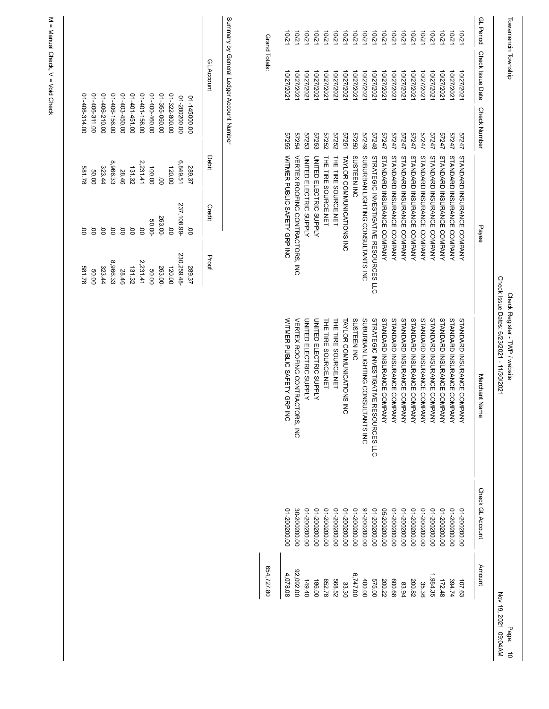Summary by General Ledger Account Number Summary by General Ledger Account Number

| 01406-314.00 | 01-406-311.00 | 01-406-210.00 | 01406-156.00 | 01-403-450.00 | 01-401-451.00 | 01-401-156.00 | 01-400-460.00 | 01-355-060.00 | 01-322-800.00 | 01-200200.00 | 01-145000.00 | GL Account    |
|--------------|---------------|---------------|--------------|---------------|---------------|---------------|---------------|---------------|---------------|--------------|--------------|---------------|
| 81.78        | 00.05         | 323.44        | 8,966.33     | 28.46         | 131.32        | 2,231.41      | 100.00        | ġ             | 120.00        | 6,849.51     | 289.37       | <b>Debit</b>  |
| ġ            | g             | g             | ġ            | ġ             | ġ             | ġ             | 50.00-        | 263.00-       | io<br>S       | 237,108.99-  | ġ            | <b>Credit</b> |
| 81.78        | 00.05         | 323.44        | 8,966.33     | 28.46         | 131.32        | 2,231.41      | 50.00         | 263.00-       | 120.00        | 230,259.48   | 289.37       | Proof         |

M = Manual Check, V = Void Check M = Manual Check, V = Void Check

> Page: 10<br>09:04AM<br>09:04AM Page: 10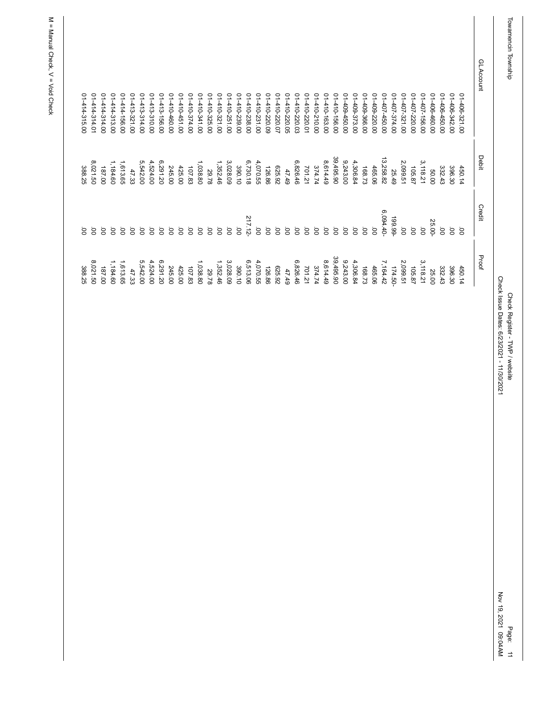| 01414-314.01<br>01414-315.00 | 01-414-314.00 | 01-414-313.00 | 01-414-156.00 | 01-413-321.00 | 01-413-314.00 | 01413-310.00 | $01 - 413 - 156.00$ | 01410460.00 | 01410451.00 | 01410-374.00 | 01410-341.00 | 01410-325.00 | 01410-321.00 | 01410-251.00 | 01410-239.00   | 01410-238.00 | 01410-231.00    | 01410-220.09    | 10-220.07       | 01410-220.05 | 410-220.03 | 01410-220.01 | 01410-210.00 | 01410-163.00 | 01410-156.00 | 01-409-450.00 | 01-409-373.00 | 01-409-366.00 | 01-409-220.00  | 01-407-450.00 | 01-407-374.00 | 01-407-321.00  | 01-407-220.00   | 01-407-156.00  | 01406-460.00 | 01-406-450.00 | 01-406-342.00 | 01-406-321.00  | GL Account |
|------------------------------|---------------|---------------|---------------|---------------|---------------|--------------|---------------------|-------------|-------------|--------------|--------------|--------------|--------------|--------------|----------------|--------------|-----------------|-----------------|-----------------|--------------|------------|--------------|--------------|--------------|--------------|---------------|---------------|---------------|----------------|---------------|---------------|----------------|-----------------|----------------|--------------|---------------|---------------|----------------|------------|
| 8,021.50<br>388.25           | 187.00        | 1,184.60      | 1,613.65      | 47.33         | 5,542.00      | 4,524.00     | 6,291.20            | 245.00      | 425.00      | 107.83       | 1,038.80     | 29.78        | 1,352.46     | 3,028.09     | 390.10         | 6,730.18     | 4,070.55        | 126.86          | <b>625.92</b>   | 47.49        | 6,826.46   | 701.21       | 374.74       | 8,614.49     | 39,495.90    | 9,243.00      | 4,306.84      | 168.73        | 465.06         | 13,258.82     | 25.49         | 2,099.51       | 105.87          | 3,118.21       | 00'09        | 332.43        | 396.30        | 450.14         | Debit      |
| ġ<br>8                       | S             | S             | S             | ä             | ä             | S            | g                   | ä           | ä           | S            | `o           | S.           | ġ            | S.           | $\overline{0}$ | 217.12-      | $\overline{0}0$ | $\overline{0}0$ | $\overline{0}0$ | ġ            | ġ          | ö            | ö            | S            | ö            | ġ             | S.            | S.            | $\overline{0}$ | 6,094.40      | $-66.99 -$    | $\overline{0}$ | $\overline{0}0$ | $\overline{0}$ | 25.00-       | Ö             | ġ             | $\overline{0}$ | Credit     |
| 8,021.50<br>388.25           | 187.00        | 1,184.60      | 1,613.65      | 47.33         | 5,542.00      | 4,524.00     | 6,291.20            | 245.00      | 425.00      | 107.83       | 1,038.80     | 29.78        | 1,352.46     | 3,028.09     | 390.10         | 6,513.06     | 4,070.55        | 126.86          | 625.92          | 47.49        | 6,826.46   | 701.21       | 374.74       | 8,614.49     | 39,495.90    | 9,243.00      | 4,306.84      | 168.73        | 465.06         | 7,164.42      | $174.50 -$    | 2,099.51       | 105.87          | 3,118.21       | 25.00        | 332.43        | 396.30        | 450.14         | Proof      |

Check Register - TWP / website<br>Check Issue Dates: 6/23/2021 - 11/30/2021 Check Issue Dates: 6/23/2021 - 11/30/2021 Check Register - TWP / website

Page: 11<br>Nov 19, 2021 09:04AM Nov 19, 2021 09:04AM Page: 11

Towamencin Township Towamencin Township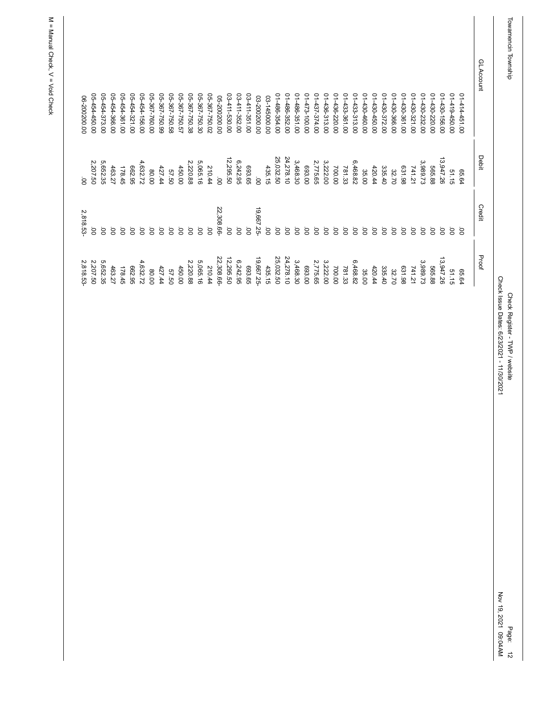| GL Account |                               | <b>Debit</b>       | Credit         | Proof              |
|------------|-------------------------------|--------------------|----------------|--------------------|
|            | 01414-451.00                  | 65.64              | ä              | 65.64              |
|            | 01419450.00                   | 51.15              | ġ              | 51.15              |
|            | 01-430-156.00                 | 13,947.26          | ġ              | 13,947.26          |
|            | 014430-220.00                 | 565.88             | ö              | 565.88             |
|            | 014430-232.00                 | 3,989.73           | ö              | 3,989.73           |
|            | 01-430-321.00                 | 741.21             | ġ              | 741.21             |
|            | 01-430-361.00                 | 631.98             | ġ              | 631.98             |
|            | 01430-366.00                  | 32.70              | ġ              | 32.70              |
|            | 01-430-372.00                 | 335.40             | ö              | 335.40             |
|            | 01-430-450.00                 | 420.44             | ġ              | 420.44             |
|            | 01-430-460.00                 | 35.00              | ö              | 35.00              |
|            | 01-433-313.00                 | 6,468.82           | ö              | 6,468.82           |
|            | 014433-361.00                 | 781.33             | ġ              | 781.33             |
|            | 01-436-220.00                 | 700.00             | ö              | 700.00             |
|            | 01-436-313.00                 | 3,222.00           | `o             | 3,222.00           |
|            | 01473-100.00<br>01-437-374.00 | 2,775.65<br>693.00 | ö<br>ö         | 2,775.65<br>693.00 |
|            | 01-486-351.00                 | 3,468.30           | ġ              | 3,468.30           |
|            | 01-486-352.00                 | 24,278.10          | ġ              | 24,278.10          |
|            | 01-486-354.00                 | 25,032.50          | $\overline{O}$ | 25,032.50          |
|            | 03-145000.00                  | 435.15             | ġ              | 435.15             |
|            | 03-200200.00                  | ġ                  | 19,667.25      | 19,667.25-         |
|            | 03-411-351.00                 | 693.65             | ġ              | 693.65             |
|            | 03-411-352.00                 | 6,242.95           | ÖÖ.            | 6,242.95           |
|            | 03-411-530.00                 | 12,295.50          | ö              | 12,295.50          |
|            | 05-200200.00                  | ġ                  | 22,308.66-     | 22,308.66          |
|            | 05-367-750.02                 | 210.44             | S.             | 210.44             |
|            | 05-367-750.30                 | 5,065.16           | S.             | 5,065.16           |
|            | 05-367-750.38                 | 2,220.88           | S.             | 2,220.88           |
|            | 05-367-750.57                 | 450.00             | ö              | 450.00             |
|            | 05-367-750.58                 | 57.50              | ö              | 57.50              |
|            | 05-367-750.99                 | 427.44             | S.             | 427.44             |
|            | 05-367-760.00                 | 80.00              | ö              | 80.00              |
|            | 05-454-156.00                 | 4,632.72           | ö              | 4,632.72           |
|            | 05-454-321.00                 | 662.95             | ö              | 662.95             |
|            | 05-454-361.00                 | 178.45             | ġ              | 178.45             |
|            | 05-454-366.00                 | 463.27             | ġ              | 463.27             |
|            | 05-454-373.00                 | 5,652.35           | ö              | 5,652.35           |
|            | 05-454-450.00                 | 2,207.50           | ġ              | 2,207.50           |
|            | 06-200200.00                  | ġ                  | 2,818.53       | 2,818.53-          |
|            |                               |                    |                |                    |

Check Register - TWP / website<br>Check Issue Dates: 6/23/2021 - 11/30/2021 Check Issue Dates: 6/23/2021 - 11/30/2021 Check Register - TWP / website

Page: 12<br>Nov 19, 2021 09:04AM Nov 19, 2021 09:04AM

Page: 12

Towamencin Township Towamencin Township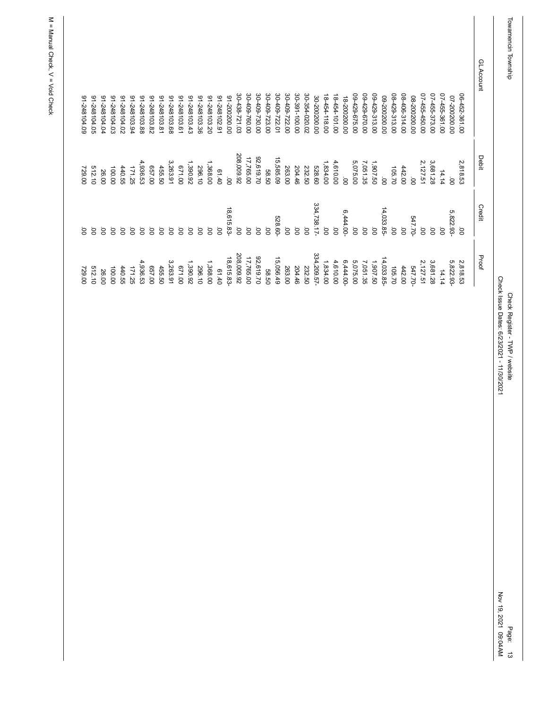| 91-248104.09 | 91-248104.05 | 01-248104.04 | 01-248104.03 | 20'6018104.02  | 91-248103.94 | 91-248103.88 | 91-248103.82 | 1-248103.81 | 91-248103.68 | 91-248103.61 | 91-248103.43 | 91-248103.36 | 02'548103.20 | 91-248102.91 | 00'002002-16 | 30-438-721.03   | 30-409-760.00 | 30-409-730.00  | 30-409-723.00  | 30-409-722.01 | 30-409-722.00 | 30-391-100.00   | 30-354-020.02 | 30-200200.00 | 18-454-118.00   | 18-454-101.00   | 18-200200.00 | 09-429-675.00  | 00-429-670.00  | 09-429-313.00  | 09-200200.00   | 08-429-313.00  | 08-406-314.00  | 08-200200.00   | 07-455-450.00  | 07-455-373.00  | 07-455-361.00 | 07-200200.00 | 06-452-361.00  | GL Account |
|--------------|--------------|--------------|--------------|----------------|--------------|--------------|--------------|-------------|--------------|--------------|--------------|--------------|--------------|--------------|--------------|-----------------|---------------|----------------|----------------|---------------|---------------|-----------------|---------------|--------------|-----------------|-----------------|--------------|----------------|----------------|----------------|----------------|----------------|----------------|----------------|----------------|----------------|---------------|--------------|----------------|------------|
| 729.00       | 512.10       | 26.00        | 100.00       | 440.55         | 171.25       | 4,936.53     | 00' 49       | 455.50      | 3,263.91     | 00'129       | 1,390.92     | 296.10       | 1,368.00     | 01.40        | ġ            | 208,009.92      | 17,765.00     | 92,619.70      | 58.50          | 15,585.09     | 263.00        | 204.46          | 232.50        | 528.60       | 1,834.00        | 4,610.00        | ġ            | 5,075.00       | 7,051.35       | 1,907.50       | $\overline{8}$ | 105.70         | 442.00         | $\overline{8}$ | 2,127.51       | 3,681.28       | 14.14         | ġ            | 2,818.53       | Debit      |
| g            | ġ            | ö            | ġ            | $\overline{O}$ | ä            | ġ            | ġ            | Ö.          | ġ            | ġ            | ö            | S.           | `oo          | ġ            | 18,615.83-   | $\overline{00}$ | ġ             | $\overline{0}$ | $\overline{0}$ | 528.60-       | Ö             | $\overline{0}0$ | ġ             | 334,738.17-  | $\overline{0}0$ | $\overline{0}0$ | 6,444.00     | $\overline{0}$ | $\overline{0}$ | $\overline{0}$ | 14,033.85-     | $\overline{S}$ | $\overline{0}$ | 547.70-        | $\overline{0}$ | $\overline{0}$ | ġ             | 5,822.93     | $\overline{0}$ | Credit     |
| 729.00       | 512.10       | 26.00        | 100.00       | 440.55         | 171.25       | 4,936.53     | 00' 49       | 455.50      | 3,263.91     | 00'129       | 1,390.92     | 296.10       | 1,368.00     | 01.40        | 18,615.83-   | 208,009.92      | 17,765.00     | 92,619.70      | 58.50          | 15,056.49     | 263.00        | 204.46          | 232.50        | 334,209.57-  | 1,834.00        | 4,610.00        | $6,444.00 -$ | 5,075.00       | 7,051.35       | 1,907.50       | 14,033.85-     | 105.70         | 442.00         | 547.70         | 2,127.51       | 3,681.28       | 14.14         | 5,822.93-    | 2,818.53       | Proof      |

Check Register - TWP / website<br>Check Issue Dates: 6/23/2021 - 11/30/2021 Check Issue Dates: 6/23/2021 - 11/30/2021 Check Register - TWP / website

Page: 13<br>Nov 19, 2021 09:04AM Nov 19, 2021 09:04AM Page: 13

Towamencin Township Towamencin Township